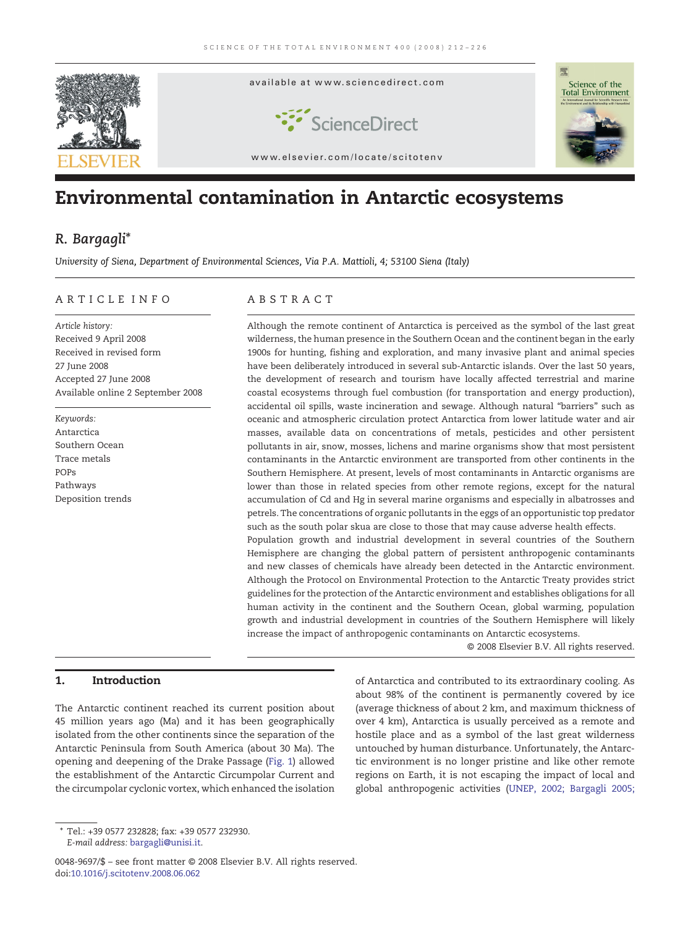

# Environmental contamination in Antarctic ecosystems

# R. Bargagli<sup>\*</sup>

University of Siena, Department of Environmental Sciences, Via P.A. Mattioli, 4; 53100 Siena (Italy)

#### ARTICLE INFO ABSTRACT

Article history: Received 9 April 2008 Received in revised form 27 June 2008 Accepted 27 June 2008 Available online 2 September 2008

Keywords: Antarctica Southern Ocean Trace metals POPs Pathways Deposition trends

Although the remote continent of Antarctica is perceived as the symbol of the last great wilderness, the human presence in the Southern Ocean and the continent began in the early 1900s for hunting, fishing and exploration, and many invasive plant and animal species have been deliberately introduced in several sub-Antarctic islands. Over the last 50 years, the development of research and tourism have locally affected terrestrial and marine coastal ecosystems through fuel combustion (for transportation and energy production), accidental oil spills, waste incineration and sewage. Although natural "barriers" such as oceanic and atmospheric circulation protect Antarctica from lower latitude water and air masses, available data on concentrations of metals, pesticides and other persistent pollutants in air, snow, mosses, lichens and marine organisms show that most persistent contaminants in the Antarctic environment are transported from other continents in the Southern Hemisphere. At present, levels of most contaminants in Antarctic organisms are lower than those in related species from other remote regions, except for the natural accumulation of Cd and Hg in several marine organisms and especially in albatrosses and petrels. The concentrations of organic pollutants in the eggs of an opportunistic top predator such as the south polar skua are close to those that may cause adverse health effects. Population growth and industrial development in several countries of the Southern Hemisphere are changing the global pattern of persistent anthropogenic contaminants and new classes of chemicals have already been detected in the Antarctic environment. Although the Protocol on Environmental Protection to the Antarctic Treaty provides strict

human activity in the continent and the Southern Ocean, global warming, population growth and industrial development in countries of the Southern Hemisphere will likely increase the impact of anthropogenic contaminants on Antarctic ecosystems.

guidelines for the protection of the Antarctic environment and establishes obligations for all

© 2008 Elsevier B.V. All rights reserved.

## 1. Introduction

The Antarctic continent reached its current position about 45 million years ago (Ma) and it has been geographically isolated from the other continents since the separation of the Antarctic Peninsula from South America (about 30 Ma). The opening and deepening of the Drake Passage ([Fig. 1\)](#page-1-0) allowed the establishment of the Antarctic Circumpolar Current and the circumpolar cyclonic vortex, which enhanced the isolation

of Antarctica and contributed to its extraordinary cooling. As about 98% of the continent is permanently covered by ice (average thickness of about 2 km, and maximum thickness of over 4 km), Antarctica is usually perceived as a remote and hostile place and as a symbol of the last great wilderness untouched by human disturbance. Unfortunately, the Antarctic environment is no longer pristine and like other remote regions on Earth, it is not escaping the impact of local and global anthropogenic activities ([UNEP, 2002; Bargagli 2005;](#page-13-0)

<sup>⁎</sup> Tel.: +39 0577 232828; fax: +39 0577 232930. E-mail address: [bargagli@unisi.it.](mailto:bargagli@unisi.it)

<sup>0048-9697/\$</sup> – see front matter © 2008 Elsevier B.V. All rights reserved. doi:[10.1016/j.scitotenv.2008.06.062](http://dx.doi.org/10.1016/j.scitotenv.2008.06.062)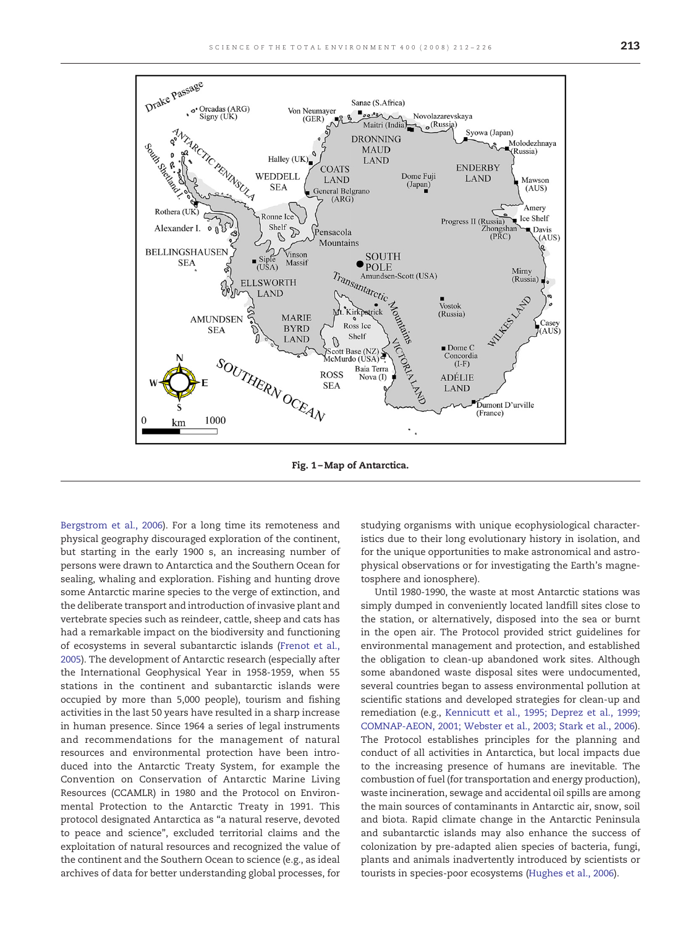<span id="page-1-0"></span>

Fig. 1 – Map of Antarctica.

[Bergstrom et al., 2006](#page-13-0)). For a long time its remoteness and physical geography discouraged exploration of the continent, but starting in the early 1900 s, an increasing number of persons were drawn to Antarctica and the Southern Ocean for sealing, whaling and exploration. Fishing and hunting drove some Antarctic marine species to the verge of extinction, and the deliberate transport and introduction of invasive plant and vertebrate species such as reindeer, cattle, sheep and cats has had a remarkable impact on the biodiversity and functioning of ecosystems in several subantarctic islands ([Frenot et al.,](#page-12-0) [2005](#page-12-0)). The development of Antarctic research (especially after the International Geophysical Year in 1958-1959, when 55 stations in the continent and subantarctic islands were occupied by more than 5,000 people), tourism and fishing activities in the last 50 years have resulted in a sharp increase in human presence. Since 1964 a series of legal instruments and recommendations for the management of natural resources and environmental protection have been introduced into the Antarctic Treaty System, for example the Convention on Conservation of Antarctic Marine Living Resources (CCAMLR) in 1980 and the Protocol on Environmental Protection to the Antarctic Treaty in 1991. This protocol designated Antarctica as "a natural reserve, devoted to peace and science", excluded territorial claims and the exploitation of natural resources and recognized the value of the continent and the Southern Ocean to science (e.g., as ideal archives of data for better understanding global processes, for studying organisms with unique ecophysiological characteristics due to their long evolutionary history in isolation, and for the unique opportunities to make astronomical and astrophysical observations or for investigating the Earth's magnetosphere and ionosphere).

Until 1980-1990, the waste at most Antarctic stations was simply dumped in conveniently located landfill sites close to the station, or alternatively, disposed into the sea or burnt in the open air. The Protocol provided strict guidelines for environmental management and protection, and established the obligation to clean-up abandoned work sites. Although some abandoned waste disposal sites were undocumented, several countries began to assess environmental pollution at scientific stations and developed strategies for clean-up and remediation (e.g., [Kennicutt et al., 1995; Deprez et al., 1999;](#page-12-0) [COMNAP-AEON, 2001; Webster et al., 2003; Stark et al., 2006](#page-12-0)). The Protocol establishes principles for the planning and conduct of all activities in Antarctica, but local impacts due to the increasing presence of humans are inevitable. The combustion of fuel (for transportation and energy production), waste incineration, sewage and accidental oil spills are among the main sources of contaminants in Antarctic air, snow, soil and biota. Rapid climate change in the Antarctic Peninsula and subantarctic islands may also enhance the success of colonization by pre-adapted alien species of bacteria, fungi, plants and animals inadvertently introduced by scientists or tourists in species-poor ecosystems ([Hughes et al., 2006](#page-12-0)).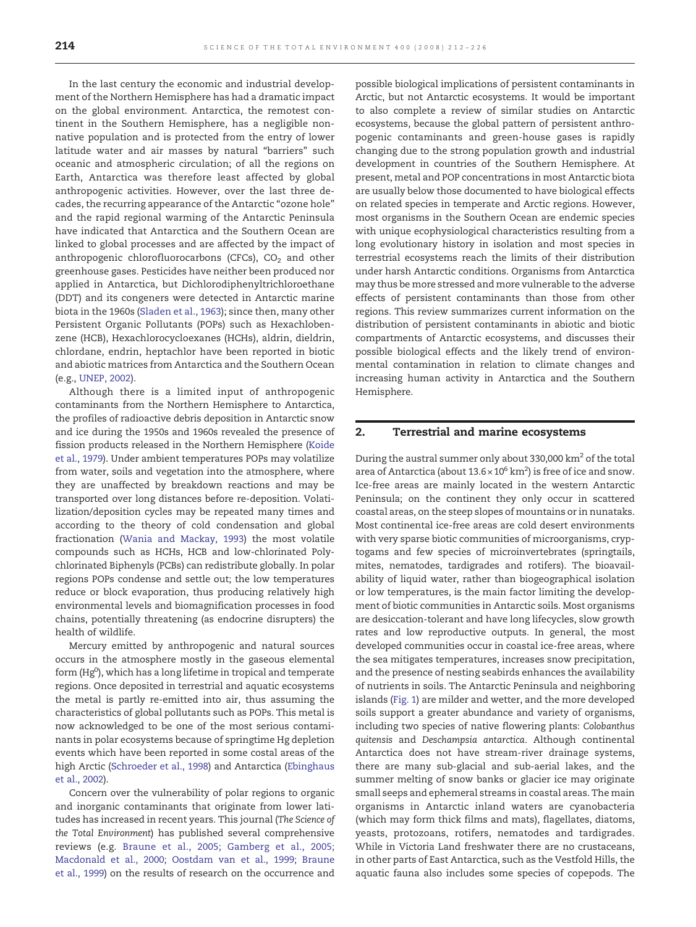In the last century the economic and industrial development of the Northern Hemisphere has had a dramatic impact on the global environment. Antarctica, the remotest continent in the Southern Hemisphere, has a negligible nonnative population and is protected from the entry of lower latitude water and air masses by natural "barriers" such oceanic and atmospheric circulation; of all the regions on Earth, Antarctica was therefore least affected by global anthropogenic activities. However, over the last three decades, the recurring appearance of the Antarctic "ozone hole" and the rapid regional warming of the Antarctic Peninsula have indicated that Antarctica and the Southern Ocean are linked to global processes and are affected by the impact of anthropogenic chlorofluorocarbons (CFCs),  $CO<sub>2</sub>$  and other greenhouse gases. Pesticides have neither been produced nor applied in Antarctica, but Dichlorodiphenyltrichloroethane (DDT) and its congeners were detected in Antarctic marine biota in the 1960s ([Sladen et al., 1963](#page-13-0)); since then, many other Persistent Organic Pollutants (POPs) such as Hexachlobenzene (HCB), Hexachlorocycloexanes (HCHs), aldrin, dieldrin, chlordane, endrin, heptachlor have been reported in biotic and abiotic matrices from Antarctica and the Southern Ocean (e.g., [UNEP, 2002\)](#page-13-0).

Although there is a limited input of anthropogenic contaminants from the Northern Hemisphere to Antarctica, the profiles of radioactive debris deposition in Antarctic snow and ice during the 1950s and 1960s revealed the presence of fission products released in the Northern Hemisphere [\(Koide](#page-12-0) [et al., 1979](#page-12-0)). Under ambient temperatures POPs may volatilize from water, soils and vegetation into the atmosphere, where they are unaffected by breakdown reactions and may be transported over long distances before re-deposition. Volatilization/deposition cycles may be repeated many times and according to the theory of cold condensation and global fractionation ([Wania and Mackay, 1993\)](#page-14-0) the most volatile compounds such as HCHs, HCB and low-chlorinated Polychlorinated Biphenyls (PCBs) can redistribute globally. In polar regions POPs condense and settle out; the low temperatures reduce or block evaporation, thus producing relatively high environmental levels and biomagnification processes in food chains, potentially threatening (as endocrine disrupters) the health of wildlife.

Mercury emitted by anthropogenic and natural sources occurs in the atmosphere mostly in the gaseous elemental form (Hg $^0$ ), which has a long lifetime in tropical and temperate regions. Once deposited in terrestrial and aquatic ecosystems the metal is partly re-emitted into air, thus assuming the characteristics of global pollutants such as POPs. This metal is now acknowledged to be one of the most serious contaminants in polar ecosystems because of springtime Hg depletion events which have been reported in some costal areas of the high Arctic [\(Schroeder et al., 1998](#page-13-0)) and Antarctica [\(Ebinghaus](#page-12-0) [et al., 2002](#page-12-0)).

Concern over the vulnerability of polar regions to organic and inorganic contaminants that originate from lower latitudes has increased in recent years. This journal (The Science of the Total Environment) has published several comprehensive reviews (e.g. [Braune et al., 2005; Gamberg et al., 2005;](#page-11-0) [Macdonald et al., 2000; Oostdam van et al., 1999; Braune](#page-11-0) [et al., 1999](#page-11-0)) on the results of research on the occurrence and

possible biological implications of persistent contaminants in Arctic, but not Antarctic ecosystems. It would be important to also complete a review of similar studies on Antarctic ecosystems, because the global pattern of persistent anthropogenic contaminants and green-house gases is rapidly changing due to the strong population growth and industrial development in countries of the Southern Hemisphere. At present, metal and POP concentrations in most Antarctic biota are usually below those documented to have biological effects on related species in temperate and Arctic regions. However, most organisms in the Southern Ocean are endemic species with unique ecophysiological characteristics resulting from a long evolutionary history in isolation and most species in terrestrial ecosystems reach the limits of their distribution under harsh Antarctic conditions. Organisms from Antarctica may thus be more stressed and more vulnerable to the adverse effects of persistent contaminants than those from other regions. This review summarizes current information on the distribution of persistent contaminants in abiotic and biotic compartments of Antarctic ecosystems, and discusses their possible biological effects and the likely trend of environmental contamination in relation to climate changes and increasing human activity in Antarctica and the Southern Hemisphere.

#### 2. Terrestrial and marine ecosystems

During the austral summer only about 330,000 km2 of the total area of Antarctica (about  $13.6 \times 10^6$  km<sup>2</sup>) is free of ice and snow. Ice-free areas are mainly located in the western Antarctic Peninsula; on the continent they only occur in scattered coastal areas, on the steep slopes of mountains or in nunataks. Most continental ice-free areas are cold desert environments with very sparse biotic communities of microorganisms, cryptogams and few species of microinvertebrates (springtails, mites, nematodes, tardigrades and rotifers). The bioavailability of liquid water, rather than biogeographical isolation or low temperatures, is the main factor limiting the development of biotic communities in Antarctic soils. Most organisms are desiccation-tolerant and have long lifecycles, slow growth rates and low reproductive outputs. In general, the most developed communities occur in coastal ice-free areas, where the sea mitigates temperatures, increases snow precipitation, and the presence of nesting seabirds enhances the availability of nutrients in soils. The Antarctic Peninsula and neighboring islands ([Fig. 1](#page-1-0)) are milder and wetter, and the more developed soils support a greater abundance and variety of organisms, including two species of native flowering plants: Colobanthus quitensis and Deschampsia antarctica. Although continental Antarctica does not have stream-river drainage systems, there are many sub-glacial and sub-aerial lakes, and the summer melting of snow banks or glacier ice may originate small seeps and ephemeral streams in coastal areas. The main organisms in Antarctic inland waters are cyanobacteria (which may form thick films and mats), flagellates, diatoms, yeasts, protozoans, rotifers, nematodes and tardigrades. While in Victoria Land freshwater there are no crustaceans, in other parts of East Antarctica, such as the Vestfold Hills, the aquatic fauna also includes some species of copepods. The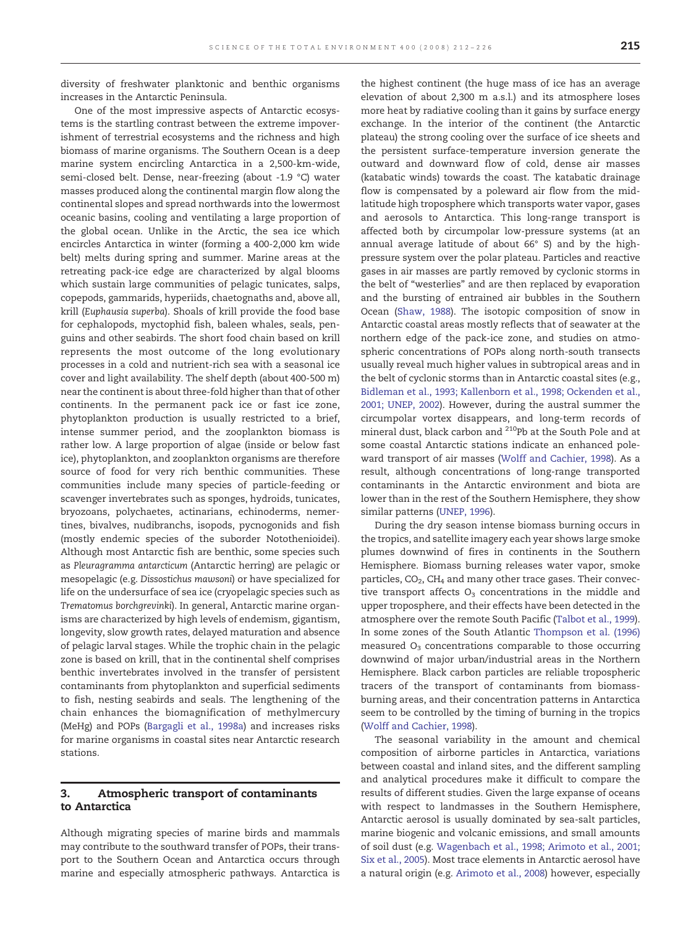diversity of freshwater planktonic and benthic organisms increases in the Antarctic Peninsula.

One of the most impressive aspects of Antarctic ecosystems is the startling contrast between the extreme impoverishment of terrestrial ecosystems and the richness and high biomass of marine organisms. The Southern Ocean is a deep marine system encircling Antarctica in a 2,500-km-wide, semi-closed belt. Dense, near-freezing (about -1.9 °C) water masses produced along the continental margin flow along the continental slopes and spread northwards into the lowermost oceanic basins, cooling and ventilating a large proportion of the global ocean. Unlike in the Arctic, the sea ice which encircles Antarctica in winter (forming a 400-2,000 km wide belt) melts during spring and summer. Marine areas at the retreating pack-ice edge are characterized by algal blooms which sustain large communities of pelagic tunicates, salps, copepods, gammarids, hyperiids, chaetognaths and, above all, krill (Euphausia superba). Shoals of krill provide the food base for cephalopods, myctophid fish, baleen whales, seals, penguins and other seabirds. The short food chain based on krill represents the most outcome of the long evolutionary processes in a cold and nutrient-rich sea with a seasonal ice cover and light availability. The shelf depth (about 400-500 m) near the continent is about three-fold higher than that of other continents. In the permanent pack ice or fast ice zone, phytoplankton production is usually restricted to a brief, intense summer period, and the zooplankton biomass is rather low. A large proportion of algae (inside or below fast ice), phytoplankton, and zooplankton organisms are therefore source of food for very rich benthic communities. These communities include many species of particle-feeding or scavenger invertebrates such as sponges, hydroids, tunicates, bryozoans, polychaetes, actinarians, echinoderms, nemertines, bivalves, nudibranchs, isopods, pycnogonids and fish (mostly endemic species of the suborder Notothenioidei). Although most Antarctic fish are benthic, some species such as Pleuragramma antarcticum (Antarctic herring) are pelagic or mesopelagic (e.g. Dissostichus mawsoni) or have specialized for life on the undersurface of sea ice (cryopelagic species such as Trematomus borchgrevinki). In general, Antarctic marine organisms are characterized by high levels of endemism, gigantism, longevity, slow growth rates, delayed maturation and absence of pelagic larval stages. While the trophic chain in the pelagic zone is based on krill, that in the continental shelf comprises benthic invertebrates involved in the transfer of persistent contaminants from phytoplankton and superficial sediments to fish, nesting seabirds and seals. The lengthening of the chain enhances the biomagnification of methylmercury (MeHg) and POPs ([Bargagli et al., 1998a](#page-11-0)) and increases risks for marine organisms in coastal sites near Antarctic research stations.

#### 3. Atmospheric transport of contaminants to Antarctica

Although migrating species of marine birds and mammals may contribute to the southward transfer of POPs, their transport to the Southern Ocean and Antarctica occurs through marine and especially atmospheric pathways. Antarctica is

the highest continent (the huge mass of ice has an average elevation of about 2,300 m a.s.l.) and its atmosphere loses more heat by radiative cooling than it gains by surface energy exchange. In the interior of the continent (the Antarctic plateau) the strong cooling over the surface of ice sheets and the persistent surface-temperature inversion generate the outward and downward flow of cold, dense air masses (katabatic winds) towards the coast. The katabatic drainage flow is compensated by a poleward air flow from the midlatitude high troposphere which transports water vapor, gases and aerosols to Antarctica. This long-range transport is affected both by circumpolar low-pressure systems (at an annual average latitude of about 66° S) and by the highpressure system over the polar plateau. Particles and reactive gases in air masses are partly removed by cyclonic storms in the belt of "westerlies" and are then replaced by evaporation and the bursting of entrained air bubbles in the Southern Ocean [\(Shaw, 1988\)](#page-13-0). The isotopic composition of snow in Antarctic coastal areas mostly reflects that of seawater at the northern edge of the pack-ice zone, and studies on atmospheric concentrations of POPs along north-south transects usually reveal much higher values in subtropical areas and in the belt of cyclonic storms than in Antarctic coastal sites (e.g., [Bidleman et al., 1993; Kallenborn et al., 1998; Ockenden et al.,](#page-11-0) [2001; UNEP, 2002](#page-11-0)). However, during the austral summer the circumpolar vortex disappears, and long-term records of mineral dust, black carbon and <sup>210</sup>Pb at the South Pole and at some coastal Antarctic stations indicate an enhanced poleward transport of air masses ([Wolff and Cachier, 1998](#page-14-0)). As a result, although concentrations of long-range transported contaminants in the Antarctic environment and biota are lower than in the rest of the Southern Hemisphere, they show similar patterns [\(UNEP, 1996](#page-13-0)).

During the dry season intense biomass burning occurs in the tropics, and satellite imagery each year shows large smoke plumes downwind of fires in continents in the Southern Hemisphere. Biomass burning releases water vapor, smoke particles, CO<sub>2</sub>, CH<sub>4</sub> and many other trace gases. Their convective transport affects  $O_3$  concentrations in the middle and upper troposphere, and their effects have been detected in the atmosphere over the remote South Pacific ([Talbot et al., 1999](#page-13-0)). In some zones of the South Atlantic [Thompson et al. \(1996\)](#page-13-0) measured  $O_3$  concentrations comparable to those occurring downwind of major urban/industrial areas in the Northern Hemisphere. Black carbon particles are reliable tropospheric tracers of the transport of contaminants from biomassburning areas, and their concentration patterns in Antarctica seem to be controlled by the timing of burning in the tropics [\(Wolff and Cachier, 1998](#page-14-0)).

The seasonal variability in the amount and chemical composition of airborne particles in Antarctica, variations between coastal and inland sites, and the different sampling and analytical procedures make it difficult to compare the results of different studies. Given the large expanse of oceans with respect to landmasses in the Southern Hemisphere, Antarctic aerosol is usually dominated by sea-salt particles, marine biogenic and volcanic emissions, and small amounts of soil dust (e.g. [Wagenbach et al., 1998; Arimoto et al., 2001;](#page-14-0) [Six et al., 2005](#page-14-0)). Most trace elements in Antarctic aerosol have a natural origin (e.g. [Arimoto et al., 2008](#page-11-0)) however, especially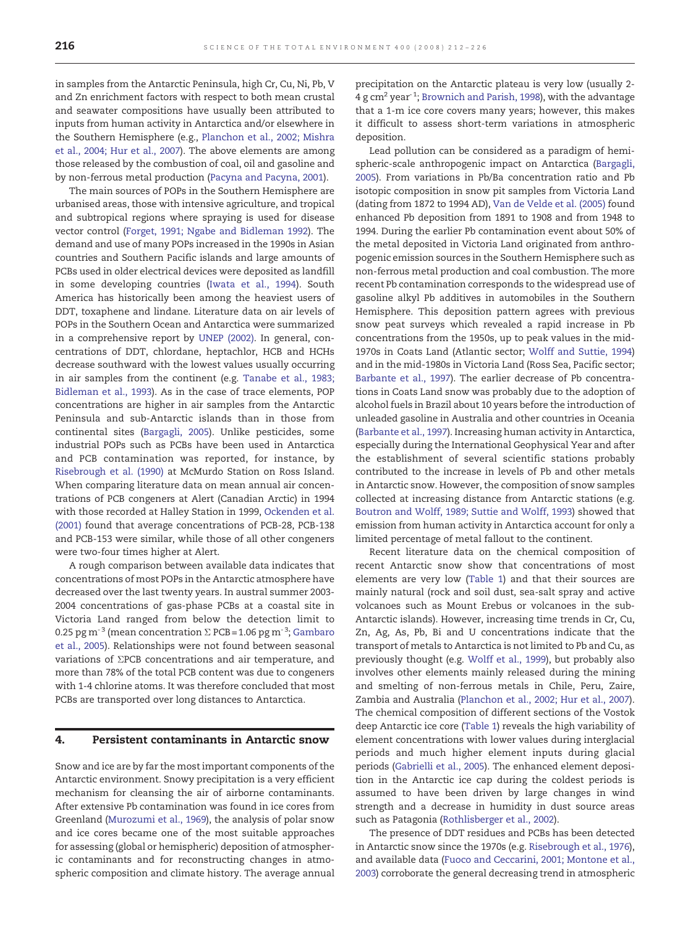in samples from the Antarctic Peninsula, high Cr, Cu, Ni, Pb, V and Zn enrichment factors with respect to both mean crustal and seawater compositions have usually been attributed to inputs from human activity in Antarctica and/or elsewhere in the Southern Hemisphere (e.g., [Planchon et al., 2002; Mishra](#page-13-0) [et al., 2004; Hur et al., 2007](#page-13-0)). The above elements are among those released by the combustion of coal, oil and gasoline and by non-ferrous metal production ([Pacyna and Pacyna, 2001\)](#page-13-0).

The main sources of POPs in the Southern Hemisphere are urbanised areas, those with intensive agriculture, and tropical and subtropical regions where spraying is used for disease vector control ([Forget, 1991; Ngabe and Bidleman 1992\)](#page-12-0). The demand and use of many POPs increased in the 1990s in Asian countries and Southern Pacific islands and large amounts of PCBs used in older electrical devices were deposited as landfill in some developing countries [\(Iwata et al., 1994](#page-12-0)). South America has historically been among the heaviest users of DDT, toxaphene and lindane. Literature data on air levels of POPs in the Southern Ocean and Antarctica were summarized in a comprehensive report by [UNEP \(2002\)](#page-13-0). In general, concentrations of DDT, chlordane, heptachlor, HCB and HCHs decrease southward with the lowest values usually occurring in air samples from the continent (e.g. [Tanabe et al., 1983;](#page-13-0) [Bidleman et al., 1993\)](#page-13-0). As in the case of trace elements, POP concentrations are higher in air samples from the Antarctic Peninsula and sub-Antarctic islands than in those from continental sites ([Bargagli, 2005\)](#page-11-0). Unlike pesticides, some industrial POPs such as PCBs have been used in Antarctica and PCB contamination was reported, for instance, by [Risebrough et al. \(1990\)](#page-13-0) at McMurdo Station on Ross Island. When comparing literature data on mean annual air concentrations of PCB congeners at Alert (Canadian Arctic) in 1994 with those recorded at Halley Station in 1999, [Ockenden et al.](#page-13-0) [\(2001\)](#page-13-0) found that average concentrations of PCB-28, PCB-138 and PCB-153 were similar, while those of all other congeners were two-four times higher at Alert.

A rough comparison between available data indicates that concentrations of most POPs in the Antarctic atmosphere have decreased over the last twenty years. In austral summer 2003- 2004 concentrations of gas-phase PCBs at a coastal site in Victoria Land ranged from below the detection limit to 0.25 pg m<sup>-3</sup> (mean concentration  $\Sigma$  PCB = 1.06 pg m<sup>-3</sup>; [Gambaro](#page-12-0) [et al., 2005](#page-12-0)). Relationships were not found between seasonal variations of ΣPCB concentrations and air temperature, and more than 78% of the total PCB content was due to congeners with 1-4 chlorine atoms. It was therefore concluded that most PCBs are transported over long distances to Antarctica.

#### 4. Persistent contaminants in Antarctic snow

Snow and ice are by far the most important components of the Antarctic environment. Snowy precipitation is a very efficient mechanism for cleansing the air of airborne contaminants. After extensive Pb contamination was found in ice cores from Greenland ([Murozumi et al., 1969](#page-13-0)), the analysis of polar snow and ice cores became one of the most suitable approaches for assessing (global or hemispheric) deposition of atmospheric contaminants and for reconstructing changes in atmospheric composition and climate history. The average annual

precipitation on the Antarctic plateau is very low (usually 2- 4 g  $cm<sup>2</sup>$  year<sup>-1</sup>; [Brownich and Parish, 1998](#page-11-0)), with the advantage that a 1-m ice core covers many years; however, this makes it difficult to assess short-term variations in atmospheric deposition.

Lead pollution can be considered as a paradigm of hemispheric-scale anthropogenic impact on Antarctica [\(Bargagli,](#page-11-0) [2005\)](#page-11-0). From variations in Pb/Ba concentration ratio and Pb isotopic composition in snow pit samples from Victoria Land (dating from 1872 to 1994 AD), [Van de Velde et al. \(2005\)](#page-14-0) found enhanced Pb deposition from 1891 to 1908 and from 1948 to 1994. During the earlier Pb contamination event about 50% of the metal deposited in Victoria Land originated from anthropogenic emission sources in the Southern Hemisphere such as non-ferrous metal production and coal combustion. The more recent Pb contamination corresponds to the widespread use of gasoline alkyl Pb additives in automobiles in the Southern Hemisphere. This deposition pattern agrees with previous snow peat surveys which revealed a rapid increase in Pb concentrations from the 1950s, up to peak values in the mid-1970s in Coats Land (Atlantic sector; [Wolff and Suttie, 1994\)](#page-14-0) and in the mid-1980s in Victoria Land (Ross Sea, Pacific sector; [Barbante et al., 1997\)](#page-11-0). The earlier decrease of Pb concentrations in Coats Land snow was probably due to the adoption of alcohol fuels in Brazil about 10 years before the introduction of unleaded gasoline in Australia and other countries in Oceania ([Barbante et al., 1997\)](#page-11-0). Increasing human activity in Antarctica, especially during the International Geophysical Year and after the establishment of several scientific stations probably contributed to the increase in levels of Pb and other metals in Antarctic snow. However, the composition of snow samples collected at increasing distance from Antarctic stations (e.g. [Boutron and Wolff, 1989; Suttie and Wolff, 1993\)](#page-11-0) showed that emission from human activity in Antarctica account for only a limited percentage of metal fallout to the continent.

Recent literature data on the chemical composition of recent Antarctic snow show that concentrations of most elements are very low [\(Table 1\)](#page-5-0) and that their sources are mainly natural (rock and soil dust, sea-salt spray and active volcanoes such as Mount Erebus or volcanoes in the sub-Antarctic islands). However, increasing time trends in Cr, Cu, Zn, Ag, As, Pb, Bi and U concentrations indicate that the transport of metals to Antarctica is not limited to Pb and Cu, as previously thought (e.g. [Wolff et al., 1999](#page-14-0)), but probably also involves other elements mainly released during the mining and smelting of non-ferrous metals in Chile, Peru, Zaire, Zambia and Australia [\(Planchon et al., 2002; Hur et al., 2007\)](#page-13-0). The chemical composition of different sections of the Vostok deep Antarctic ice core [\(Table 1](#page-5-0)) reveals the high variability of element concentrations with lower values during interglacial periods and much higher element inputs during glacial periods [\(Gabrielli et al., 2005\)](#page-12-0). The enhanced element deposition in the Antarctic ice cap during the coldest periods is assumed to have been driven by large changes in wind strength and a decrease in humidity in dust source areas such as Patagonia [\(Rothlisberger et al., 2002](#page-13-0)).

The presence of DDT residues and PCBs has been detected in Antarctic snow since the 1970s (e.g. [Risebrough et al., 1976\)](#page-13-0), and available data [\(Fuoco and Ceccarini, 2001; Montone et al.,](#page-12-0) [2003\)](#page-12-0) corroborate the general decreasing trend in atmospheric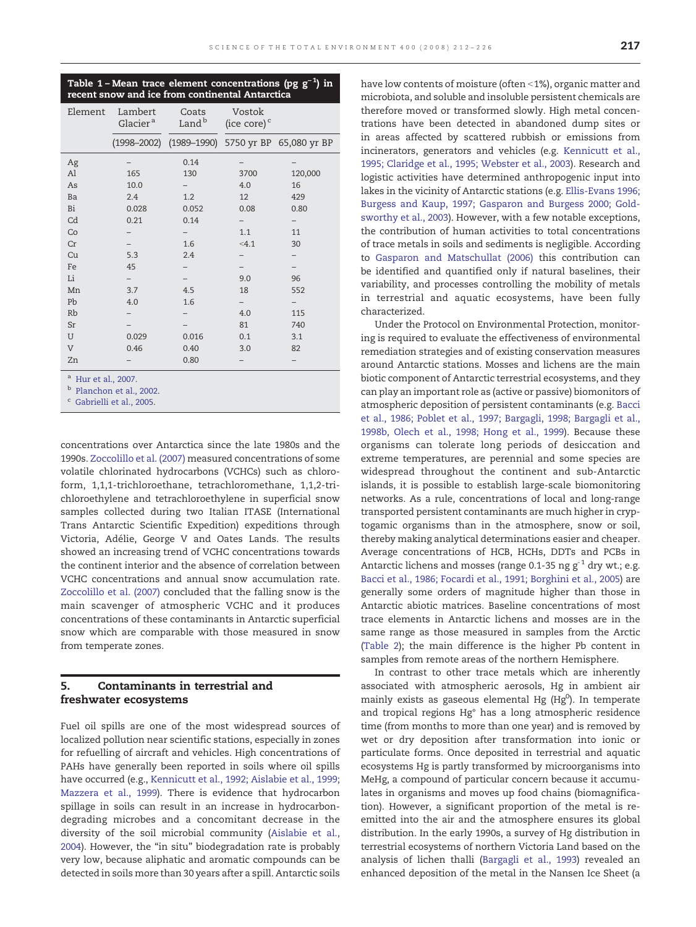<span id="page-5-0"></span>

| Table 1 - Mean trace element concentrations (pg $g^{-1}$ ) in |
|---------------------------------------------------------------|
| recent snow and ice from continental Antarctica               |

| Element             | Lambert<br>Glacier <sup>a</sup> | Coats<br>Land <sup>b</sup> | Vostok<br>(ice core) $\text{c}$ |                         |
|---------------------|---------------------------------|----------------------------|---------------------------------|-------------------------|
|                     | (1998–2002)                     | $(1989 - 1990)$            |                                 | 5750 yr BP 65,080 yr BP |
| Ag                  |                                 | 0.14                       |                                 |                         |
| Al                  | 165                             | 130                        | 3700                            | 120,000                 |
| As                  | 10.0                            |                            | 4.0                             | 16                      |
| Ba                  | 2.4                             | 1.2                        | 12                              | 429                     |
| Bi                  | 0.028                           | 0.052                      | 0.08                            | 0.80                    |
| Cd                  | 0.21                            | 0.14                       |                                 | -                       |
| Co                  |                                 |                            | 1.1                             | 11                      |
| $\operatorname{Cr}$ |                                 | 1.6                        | <4.1                            | 30                      |
| Cu                  | 5.3                             | 2.4                        |                                 |                         |
| Fe                  | 45                              |                            |                                 |                         |
| Li                  |                                 |                            | 9.0                             | 96                      |
| Mn                  | 3.7                             | 4.5                        | 18                              | 552                     |
| Pb                  | 4.0                             | 1.6                        | -                               |                         |
| Rb                  |                                 |                            | 4.0                             | 115                     |
| Sr                  |                                 |                            | 81                              | 740                     |
| U                   | 0.029                           | 0.016                      | 0.1                             | 3.1                     |
| V                   | 0.46                            | 0.40                       | 3.0                             | 82                      |
| Zn                  |                                 | 0.80                       |                                 |                         |

<sup>a</sup> [Hur et al., 2007.](#page-12-0)

<sup>b</sup> [Planchon et al., 2002.](#page-13-0)

<sup>c</sup> [Gabrielli et al., 2005](#page-12-0).

concentrations over Antarctica since the late 1980s and the 1990s. [Zoccolillo et al. \(2007\)](#page-14-0) measured concentrations of some volatile chlorinated hydrocarbons (VCHCs) such as chloroform, 1,1,1-trichloroethane, tetrachloromethane, 1,1,2-trichloroethylene and tetrachloroethylene in superficial snow samples collected during two Italian ITASE (International Trans Antarctic Scientific Expedition) expeditions through Victoria, Adélie, George V and Oates Lands. The results showed an increasing trend of VCHC concentrations towards the continent interior and the absence of correlation between VCHC concentrations and annual snow accumulation rate. [Zoccolillo et al. \(2007\)](#page-14-0) concluded that the falling snow is the main scavenger of atmospheric VCHC and it produces concentrations of these contaminants in Antarctic superficial snow which are comparable with those measured in snow from temperate zones.

#### 5. Contaminants in terrestrial and freshwater ecosystems

Fuel oil spills are one of the most widespread sources of localized pollution near scientific stations, especially in zones for refuelling of aircraft and vehicles. High concentrations of PAHs have generally been reported in soils where oil spills have occurred (e.g., [Kennicutt et al., 1992; Aislabie et al., 1999;](#page-12-0) [Mazzera et al., 1999](#page-12-0)). There is evidence that hydrocarbon spillage in soils can result in an increase in hydrocarbondegrading microbes and a concomitant decrease in the diversity of the soil microbial community ([Aislabie et al.,](#page-11-0) [2004](#page-11-0)). However, the "in situ" biodegradation rate is probably very low, because aliphatic and aromatic compounds can be detected in soils more than 30 years after a spill. Antarctic soils

have low contents of moisture (often <1%), organic matter and microbiota, and soluble and insoluble persistent chemicals are therefore moved or transformed slowly. High metal concentrations have been detected in abandoned dump sites or in areas affected by scattered rubbish or emissions from incinerators, generators and vehicles (e.g. [Kennicutt et al.,](#page-12-0) [1995; Claridge et al., 1995; Webster et al., 2003](#page-12-0)). Research and logistic activities have determined anthropogenic input into lakes in the vicinity of Antarctic stations (e.g. [Ellis-Evans 1996;](#page-12-0) [Burgess and Kaup, 1997; Gasparon and Burgess 2000; Gold](#page-12-0)[sworthy et al., 2003\)](#page-12-0). However, with a few notable exceptions, the contribution of human activities to total concentrations of trace metals in soils and sediments is negligible. According to [Gasparon and Matschullat \(2006\)](#page-12-0) this contribution can be identified and quantified only if natural baselines, their variability, and processes controlling the mobility of metals in terrestrial and aquatic ecosystems, have been fully characterized.

Under the Protocol on Environmental Protection, monitoring is required to evaluate the effectiveness of environmental remediation strategies and of existing conservation measures around Antarctic stations. Mosses and lichens are the main biotic component of Antarctic terrestrial ecosystems, and they can play an important role as (active or passive) biomonitors of atmospheric deposition of persistent contaminants (e.g. [Bacci](#page-11-0) [et al., 1986; Poblet et al., 1997; Bargagli, 1998; Bargagli et al.,](#page-11-0) [1998b, Olech et al., 1998; Hong et al., 1999\)](#page-11-0). Because these organisms can tolerate long periods of desiccation and extreme temperatures, are perennial and some species are widespread throughout the continent and sub-Antarctic islands, it is possible to establish large-scale biomonitoring networks. As a rule, concentrations of local and long-range transported persistent contaminants are much higher in cryptogamic organisms than in the atmosphere, snow or soil, thereby making analytical determinations easier and cheaper. Average concentrations of HCB, HCHs, DDTs and PCBs in Antarctic lichens and mosses (range 0.1-35 ng  $g^{-1}$  dry wt.; e.g. [Bacci et al., 1986; Focardi et al., 1991; Borghini et al., 2005\)](#page-11-0) are generally some orders of magnitude higher than those in Antarctic abiotic matrices. Baseline concentrations of most trace elements in Antarctic lichens and mosses are in the same range as those measured in samples from the Arctic [\(Table 2](#page-6-0)); the main difference is the higher Pb content in samples from remote areas of the northern Hemisphere.

In contrast to other trace metals which are inherently associated with atmospheric aerosols, Hg in ambient air mainly exists as gaseous elemental Hg (Hg $^0$ ). In temperate and tropical regions Hg° has a long atmospheric residence time (from months to more than one year) and is removed by wet or dry deposition after transformation into ionic or particulate forms. Once deposited in terrestrial and aquatic ecosystems Hg is partly transformed by microorganisms into MeHg, a compound of particular concern because it accumulates in organisms and moves up food chains (biomagnification). However, a significant proportion of the metal is reemitted into the air and the atmosphere ensures its global distribution. In the early 1990s, a survey of Hg distribution in terrestrial ecosystems of northern Victoria Land based on the analysis of lichen thalli ([Bargagli et al., 1993\)](#page-11-0) revealed an enhanced deposition of the metal in the Nansen Ice Sheet (a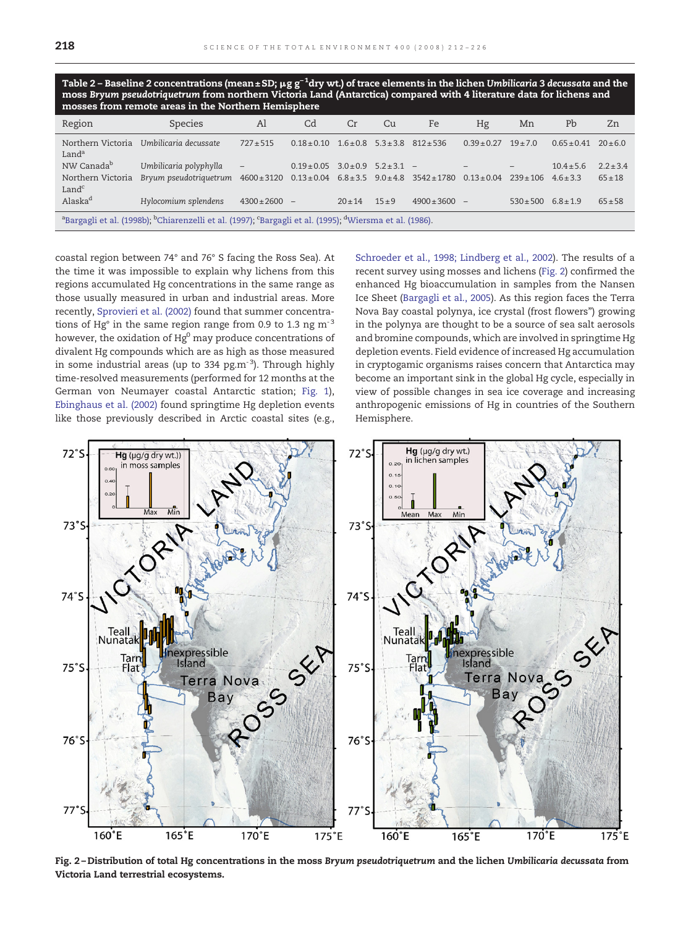<span id="page-6-0"></span>Table 2 – Baseline 2 concentrations (mean±SD; μg g<sup>−1</sup>dry wt.) of trace elements in the lichen Umbilicaria 3 decussata and the moss Bryum pseudotriquetrum from northern Victoria Land (Antarctica) compared with 4 literature data for lichens and mosses from remote areas in the Northern Hemisphere

| Region                                                                                                                                                                                       | <b>Species</b>         | Al                | C <sub>d</sub>                                            | Cr        | Cu     | Fe                                                                                          | Ηg              | Mn                          | Pb                           | Zn          |  |
|----------------------------------------------------------------------------------------------------------------------------------------------------------------------------------------------|------------------------|-------------------|-----------------------------------------------------------|-----------|--------|---------------------------------------------------------------------------------------------|-----------------|-----------------------------|------------------------------|-------------|--|
| Northern Victoria<br>Land <sup>a</sup>                                                                                                                                                       | Umbilicaria decussate  | $727 + 515$       | $0.18 \pm 0.10$ $1.6 \pm 0.8$ $5.3 \pm 3.8$ $812 \pm 536$ |           |        |                                                                                             | $0.39 \pm 0.27$ | $19 + 7.0$                  | $0.65 \pm 0.41$ $20 \pm 6.0$ |             |  |
| NW Canada <sup>b</sup>                                                                                                                                                                       | Umbilicaria polyphylla | $\equiv$          | $0.19 \pm 0.05$ $3.0 \pm 0.9$ $5.2 \pm 3.1$ -             |           |        |                                                                                             |                 |                             | $10.4 + 5.6$                 | $2.2 + 3.4$ |  |
| Northern Victoria                                                                                                                                                                            | Bryum pseudotriquetrum |                   |                                                           |           |        | $4600 \pm 3120$ $0.13 \pm 0.04$ $6.8 \pm 3.5$ $9.0 \pm 4.8$ $3542 \pm 1780$ $0.13 \pm 0.04$ |                 | $239 \pm 106$               | $4.6 \pm 3.3$                | $65 + 18$   |  |
| Land <sup>c</sup>                                                                                                                                                                            |                        |                   |                                                           |           |        |                                                                                             |                 |                             |                              |             |  |
| Alaska <sup>d</sup>                                                                                                                                                                          | Hylocomium splendens   | $4300 \pm 2600 -$ |                                                           | $20 + 14$ | $15+9$ | $4900 \pm 3600$                                                                             |                 | $530 \pm 500$ $6.8 \pm 1.9$ |                              | $65 \pm 58$ |  |
| $\frac{1}{2}$ (1998) $\frac{1}{2}$ (1998) $\frac{1}{2}$ (1998) $\frac{1}{2}$ (1997) $\frac{1}{2}$ (1997) $\frac{1}{2}$ (1998) $\frac{1}{2}$ (1998) $\frac{1}{2}$ (1998) $\frac{1}{2}$ (1998) |                        |                   |                                                           |           |        |                                                                                             |                 |                             |                              |             |  |

[Bargagli et al. \(1998b\);](#page-11-0) <sup>b</sup> '[Chiarenzelli et al. \(1997\)](#page-11-0); <sup>c</sup> [Bargagli et al. \(1995\);](#page-11-0) <sup>d</sup> [Wiersma et al. \(1986\).](#page-14-0)

coastal region between 74° and 76° S facing the Ross Sea). At the time it was impossible to explain why lichens from this regions accumulated Hg concentrations in the same range as those usually measured in urban and industrial areas. More recently, [Sprovieri et al. \(2002\)](#page-13-0) found that summer concentrations of Hg $^{\circ}$  in the same region range from 0.9 to 1.3 ng m<sup>-3</sup> however, the oxidation of  $Hg^0$  may produce concentrations of divalent Hg compounds which are as high as those measured in some industrial areas (up to  $334$  pg.m<sup>-3</sup>). Through highly time-resolved measurements (performed for 12 months at the German von Neumayer coastal Antarctic station; [Fig. 1\)](#page-1-0), [Ebinghaus et al. \(2002\)](#page-12-0) found springtime Hg depletion events like those previously described in Arctic coastal sites (e.g.,

[Schroeder et al., 1998; Lindberg et al., 2002](#page-13-0)). The results of a recent survey using mosses and lichens (Fig. 2) confirmed the enhanced Hg bioaccumulation in samples from the Nansen Ice Sheet ([Bargagli et al., 2005](#page-11-0)). As this region faces the Terra Nova Bay coastal polynya, ice crystal (frost flowers") growing in the polynya are thought to be a source of sea salt aerosols and bromine compounds, which are involved in springtime Hg depletion events. Field evidence of increased Hg accumulation in cryptogamic organisms raises concern that Antarctica may become an important sink in the global Hg cycle, especially in view of possible changes in sea ice coverage and increasing anthropogenic emissions of Hg in countries of the Southern Hemisphere.



Fig. 2 – Distribution of total Hg concentrations in the moss Bryum pseudotriquetrum and the lichen Umbilicaria decussata from Victoria Land terrestrial ecosystems.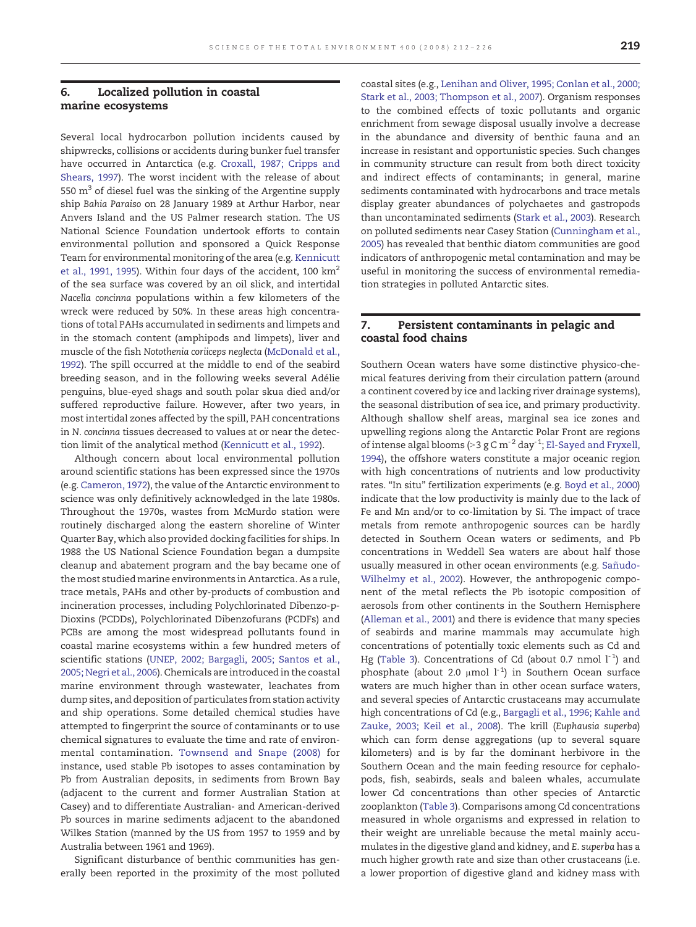### 6. Localized pollution in coastal marine ecosystems

Several local hydrocarbon pollution incidents caused by shipwrecks, collisions or accidents during bunker fuel transfer have occurred in Antarctica (e.g. [Croxall, 1987; Cripps and](#page-12-0) [Shears, 1997](#page-12-0)). The worst incident with the release of about 550  $m<sup>3</sup>$  of diesel fuel was the sinking of the Argentine supply ship Bahia Paraiso on 28 January 1989 at Arthur Harbor, near Anvers Island and the US Palmer research station. The US National Science Foundation undertook efforts to contain environmental pollution and sponsored a Quick Response Team for environmental monitoring of the area (e.g. [Kennicutt](#page-12-0) [et al., 1991, 1995\)](#page-12-0). Within four days of the accident, 100  $km^2$ of the sea surface was covered by an oil slick, and intertidal Nacella concinna populations within a few kilometers of the wreck were reduced by 50%. In these areas high concentrations of total PAHs accumulated in sediments and limpets and in the stomach content (amphipods and limpets), liver and muscle of the fish Notothenia coriiceps neglecta ([McDonald et al.,](#page-13-0) [1992](#page-13-0)). The spill occurred at the middle to end of the seabird breeding season, and in the following weeks several Adélie penguins, blue-eyed shags and south polar skua died and/or suffered reproductive failure. However, after two years, in most intertidal zones affected by the spill, PAH concentrations in N. concinna tissues decreased to values at or near the detection limit of the analytical method ([Kennicutt et al., 1992](#page-12-0)).

Although concern about local environmental pollution around scientific stations has been expressed since the 1970s (e.g. [Cameron, 1972](#page-11-0)), the value of the Antarctic environment to science was only definitively acknowledged in the late 1980s. Throughout the 1970s, wastes from McMurdo station were routinely discharged along the eastern shoreline of Winter Quarter Bay, which also provided docking facilities for ships. In 1988 the US National Science Foundation began a dumpsite cleanup and abatement program and the bay became one of the most studied marine environments in Antarctica. As a rule, trace metals, PAHs and other by-products of combustion and incineration processes, including Polychlorinated Dibenzo-p-Dioxins (PCDDs), Polychlorinated Dibenzofurans (PCDFs) and PCBs are among the most widespread pollutants found in coastal marine ecosystems within a few hundred meters of scientific stations ([UNEP, 2002; Bargagli, 2005; Santos et al.,](#page-13-0) [2005; Negri et al., 2006\)](#page-13-0). Chemicals are introduced in the coastal marine environment through wastewater, leachates from dump sites, and deposition of particulates from station activity and ship operations. Some detailed chemical studies have attempted to fingerprint the source of contaminants or to use chemical signatures to evaluate the time and rate of environmental contamination. [Townsend and Snape \(2008\)](#page-13-0) for instance, used stable Pb isotopes to asses contamination by Pb from Australian deposits, in sediments from Brown Bay (adjacent to the current and former Australian Station at Casey) and to differentiate Australian- and American-derived Pb sources in marine sediments adjacent to the abandoned Wilkes Station (manned by the US from 1957 to 1959 and by Australia between 1961 and 1969).

Significant disturbance of benthic communities has generally been reported in the proximity of the most polluted coastal sites (e.g., [Lenihan and Oliver, 1995; Conlan et al., 2000;](#page-12-0) [Stark et al., 2003; Thompson et al., 2007\)](#page-12-0). Organism responses to the combined effects of toxic pollutants and organic enrichment from sewage disposal usually involve a decrease in the abundance and diversity of benthic fauna and an increase in resistant and opportunistic species. Such changes in community structure can result from both direct toxicity and indirect effects of contaminants; in general, marine sediments contaminated with hydrocarbons and trace metals display greater abundances of polychaetes and gastropods than uncontaminated sediments [\(Stark et al., 2003\)](#page-13-0). Research on polluted sediments near Casey Station [\(Cunningham et al.,](#page-12-0) [2005](#page-12-0)) has revealed that benthic diatom communities are good indicators of anthropogenic metal contamination and may be useful in monitoring the success of environmental remediation strategies in polluted Antarctic sites.

#### 7. Persistent contaminants in pelagic and coastal food chains

Southern Ocean waters have some distinctive physico-chemical features deriving from their circulation pattern (around a continent covered by ice and lacking river drainage systems), the seasonal distribution of sea ice, and primary productivity. Although shallow shelf areas, marginal sea ice zones and upwelling regions along the Antarctic Polar Front are regions of intense algal blooms ( $>$ 3 g C m<sup>-2</sup> day<sup>-1</sup>; [El-Sayed and Fryxell,](#page-12-0) [1994](#page-12-0)), the offshore waters constitute a major oceanic region with high concentrations of nutrients and low productivity rates. "In situ" fertilization experiments (e.g. [Boyd et al., 2000](#page-11-0)) indicate that the low productivity is mainly due to the lack of Fe and Mn and/or to co-limitation by Si. The impact of trace metals from remote anthropogenic sources can be hardly detected in Southern Ocean waters or sediments, and Pb concentrations in Weddell Sea waters are about half those usually measured in other ocean environments (e.g. [Sañudo-](#page-13-0)[Wilhelmy et al., 2002\)](#page-13-0). However, the anthropogenic component of the metal reflects the Pb isotopic composition of aerosols from other continents in the Southern Hemisphere [\(Alleman et al., 2001](#page-11-0)) and there is evidence that many species of seabirds and marine mammals may accumulate high concentrations of potentially toxic elements such as Cd and Hg ([Table 3\)](#page-8-0). Concentrations of Cd (about 0.7 nmol  $l^{-1}$ ) and phosphate (about 2.0 µmol  $l^{-1}$ ) in Southern Ocean surface waters are much higher than in other ocean surface waters, and several species of Antarctic crustaceans may accumulate high concentrations of Cd (e.g., [Bargagli et al., 1996; Kahle and](#page-11-0) [Zauke, 2003; Keil et al., 2008](#page-11-0)). The krill (Euphausia superba) which can form dense aggregations (up to several square kilometers) and is by far the dominant herbivore in the Southern Ocean and the main feeding resource for cephalopods, fish, seabirds, seals and baleen whales, accumulate lower Cd concentrations than other species of Antarctic zooplankton ([Table 3](#page-8-0)). Comparisons among Cd concentrations measured in whole organisms and expressed in relation to their weight are unreliable because the metal mainly accumulates in the digestive gland and kidney, and E. superba has a much higher growth rate and size than other crustaceans (i.e. a lower proportion of digestive gland and kidney mass with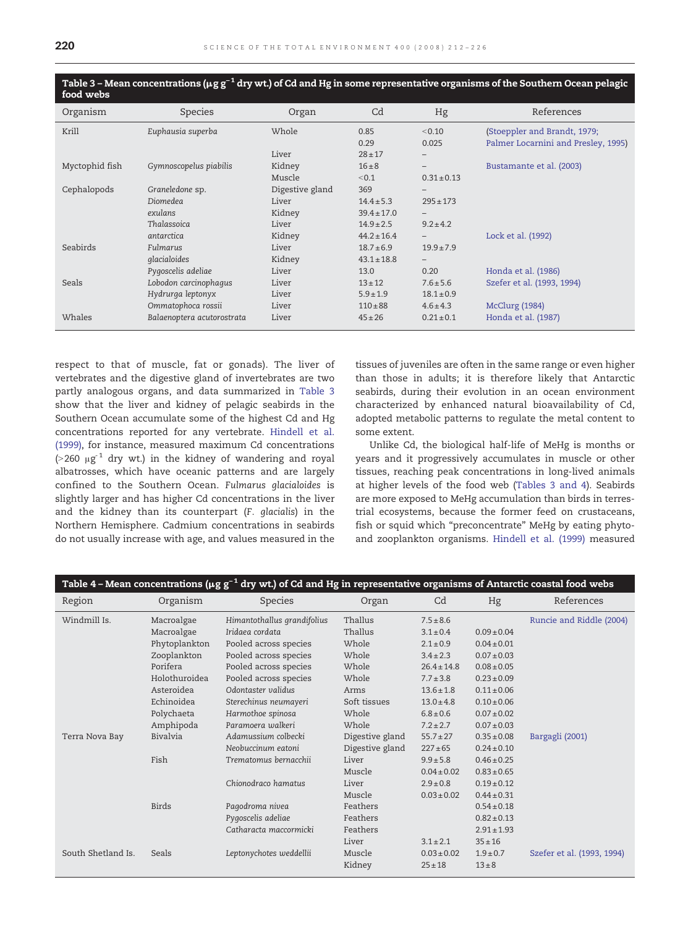<span id="page-8-0"></span>Table 3 – Mean concentrations (µg g<sup>−1</sup> dry wt.) of Cd and Hg in some representative organisms of the Southern Ocean pelagic

| food webs      |                            |                 |                 |                 |                                     |
|----------------|----------------------------|-----------------|-----------------|-----------------|-------------------------------------|
| Organism       | <b>Species</b>             | Organ           | C <sub>d</sub>  | Hg              | References                          |
| Krill          | Euphausia superba          | Whole           | 0.85            | < 0.10          | (Stoeppler and Brandt, 1979;        |
|                |                            |                 | 0.29            | 0.025           | Palmer Locarnini and Presley, 1995) |
|                |                            | Liver           | $28 + 17$       |                 |                                     |
| Myctophid fish | Gymnoscopelus piabilis     | Kidney          | $16\pm8$        |                 | Bustamante et al. (2003)            |
|                |                            | Muscle          | < 0.1           | $0.31 \pm 0.13$ |                                     |
| Cephalopods    | Graneledone sp.            | Digestive gland | 369             |                 |                                     |
|                | Diomedea                   | Liver           | $14.4 \pm 5.3$  | $295 \pm 173$   |                                     |
|                | exulans                    | Kidney          | $39.4 \pm 17.0$ |                 |                                     |
|                | Thalassoica                | Liver           | $14.9 \pm 2.5$  | $9.2 \pm 4.2$   |                                     |
|                | antarctica                 | Kidney          | $44.2 \pm 16.4$ |                 | Lock et al. (1992)                  |
| Seabirds       | Fulmarus                   | Liver           | $18.7 \pm 6.9$  | $19.9 \pm 7.9$  |                                     |
|                | glacialoides               | Kidney          | $43.1 \pm 18.8$ |                 |                                     |
|                | Pygoscelis adeliae         | Liver           | 13.0            | 0.20            | Honda et al. (1986)                 |
| Seals          | Lobodon carcinophagus      | Liver           | $13 \pm 12$     | $7.6 \pm 5.6$   | Szefer et al. (1993, 1994)          |
|                | Hydrurga leptonyx          | Liver           | $5.9 \pm 1.9$   | $18.1 \pm 0.9$  |                                     |
|                | Ommatophoca rossii         | Liver           | $110 \pm 88$    | $4.6 \pm 4.3$   | McClurg (1984)                      |
| Whales         | Balaenoptera acutorostrata | Liver           | $45 \pm 26$     | $0.21 \pm 0.1$  | Honda et al. (1987)                 |
|                |                            |                 |                 |                 |                                     |

respect to that of muscle, fat or gonads). The liver of vertebrates and the digestive gland of invertebrates are two partly analogous organs, and data summarized in Table 3 show that the liver and kidney of pelagic seabirds in the Southern Ocean accumulate some of the highest Cd and Hg concentrations reported for any vertebrate. [Hindell et al.](#page-12-0) [\(1999\),](#page-12-0) for instance, measured maximum Cd concentrations (>260  $\mu$ g<sup>-1</sup> dry wt.) in the kidney of wandering and royal albatrosses, which have oceanic patterns and are largely confined to the Southern Ocean. Fulmarus glacialoides is slightly larger and has higher Cd concentrations in the liver and the kidney than its counterpart (F. glacialis) in the Northern Hemisphere. Cadmium concentrations in seabirds do not usually increase with age, and values measured in the

tissues of juveniles are often in the same range or even higher than those in adults; it is therefore likely that Antarctic seabirds, during their evolution in an ocean environment characterized by enhanced natural bioavailability of Cd, adopted metabolic patterns to regulate the metal content to some extent.

Unlike Cd, the biological half-life of MeHg is months or years and it progressively accumulates in muscle or other tissues, reaching peak concentrations in long-lived animals at higher levels of the food web (Tables 3 and 4). Seabirds are more exposed to MeHg accumulation than birds in terrestrial ecosystems, because the former feed on crustaceans, fish or squid which "preconcentrate" MeHg by eating phytoand zooplankton organisms. [Hindell et al. \(1999\)](#page-12-0) measured

| Table 4 – Mean concentrations ( $\mu$ g g <sup>-1</sup> dry wt.) of Cd and Hg in representative organisms of Antarctic coastal food webs |               |                             |                 |                 |                 |                            |  |  |
|------------------------------------------------------------------------------------------------------------------------------------------|---------------|-----------------------------|-----------------|-----------------|-----------------|----------------------------|--|--|
| Region                                                                                                                                   | Organism      | <b>Species</b>              | Organ           | C <sub>d</sub>  | Hg              | References                 |  |  |
| Windmill Is.                                                                                                                             | Macroalgae    | Himantothallus grandifolius | Thallus         | $7.5 \pm 8.6$   |                 | Runcie and Riddle (2004)   |  |  |
|                                                                                                                                          | Macroalgae    | Iridaea cordata             | Thallus         | $3.1 \pm 0.4$   | $0.09 \pm 0.04$ |                            |  |  |
|                                                                                                                                          | Phytoplankton | Pooled across species       | Whole           | $2.1 \pm 0.9$   | $0.04 \pm 0.01$ |                            |  |  |
|                                                                                                                                          | Zooplankton   | Pooled across species       | Whole           | $3.4 \pm 2.3$   | $0.07 \pm 0.03$ |                            |  |  |
|                                                                                                                                          | Porifera      | Pooled across species       | Whole           | $26.4 \pm 14.8$ | $0.08 \pm 0.05$ |                            |  |  |
|                                                                                                                                          | Holothuroidea | Pooled across species       | Whole           | $7.7 \pm 3.8$   | $0.23 \pm 0.09$ |                            |  |  |
|                                                                                                                                          | Asteroidea    | Odontaster validus          | Arms            | $13.6 \pm 1.8$  | $0.11 \pm 0.06$ |                            |  |  |
|                                                                                                                                          | Echinoidea    | Sterechinus neumayeri       | Soft tissues    | $13.0 \pm 4.8$  | $0.10 \pm 0.06$ |                            |  |  |
|                                                                                                                                          | Polychaeta    | Harmothoe spinosa           | Whole           | $6.8 \pm 0.6$   | $0.07 \pm 0.02$ |                            |  |  |
|                                                                                                                                          | Amphipoda     | Paramoera walkeri           | Whole           | $7.2 \pm 2.7$   | $0.07 \pm 0.03$ |                            |  |  |
| Terra Nova Bay                                                                                                                           | Bivalvia      | Adamussium colbecki         | Digestive gland | $55.7 \pm 27$   | $0.35 \pm 0.08$ | Bargagli (2001)            |  |  |
|                                                                                                                                          |               | Neobuccinum eatoni          | Digestive gland | $227 \pm 65$    | $0.24 \pm 0.10$ |                            |  |  |
|                                                                                                                                          | Fish          | Trematomus bernacchii       | Liver           | $9.9 \pm 5.8$   | $0.46 \pm 0.25$ |                            |  |  |
|                                                                                                                                          |               |                             | Muscle          | $0.04 \pm 0.02$ | $0.83 \pm 0.65$ |                            |  |  |
|                                                                                                                                          |               | Chionodraco hamatus         | Liver           | $2.9 \pm 0.8$   | $0.19 \pm 0.12$ |                            |  |  |
|                                                                                                                                          |               |                             | Muscle          | $0.03 \pm 0.02$ | $0.44 \pm 0.31$ |                            |  |  |
|                                                                                                                                          | <b>Birds</b>  | Pagodroma nivea             | Feathers        |                 | $0.54 \pm 0.18$ |                            |  |  |
|                                                                                                                                          |               | Pygoscelis adeliae          | Feathers        |                 | $0.82 \pm 0.13$ |                            |  |  |
|                                                                                                                                          |               | Catharacta maccormicki      | Feathers        |                 | $2.91 \pm 1.93$ |                            |  |  |
|                                                                                                                                          |               |                             | Liver           | $3.1 \pm 2.1$   | $35 \pm 16$     |                            |  |  |
| South Shetland Is.                                                                                                                       | Seals         | Leptonychotes weddellii     | Muscle          | $0.03 \pm 0.02$ | $1.9 \pm 0.7$   | Szefer et al. (1993, 1994) |  |  |
|                                                                                                                                          |               |                             | Kidney          | $25 \pm 18$     | $13\pm8$        |                            |  |  |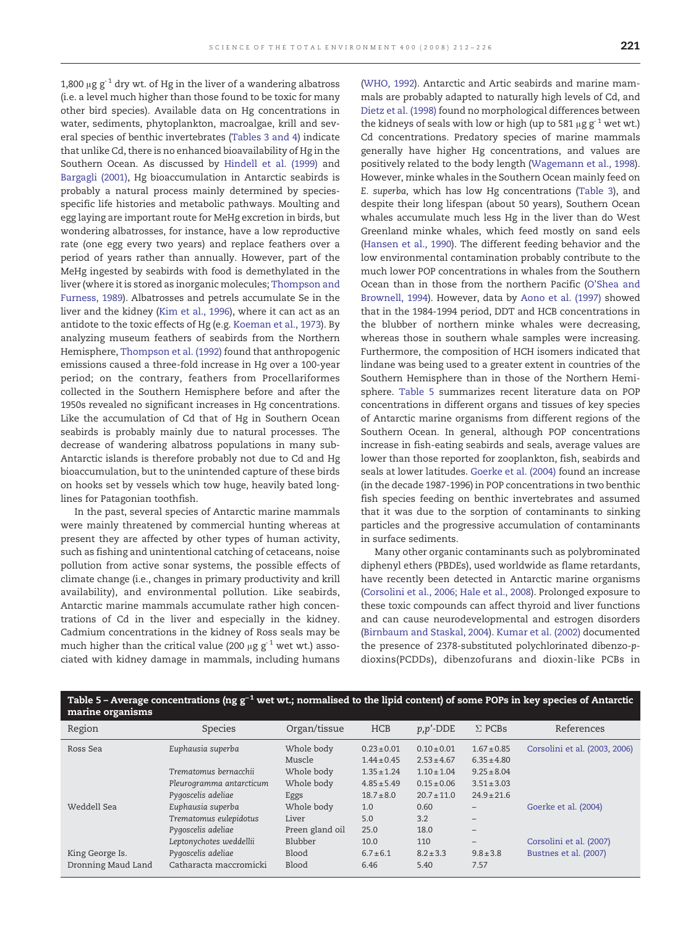1,800 μg  $g^{-1}$  dry wt. of Hg in the liver of a wandering albatross (i.e. a level much higher than those found to be toxic for many other bird species). Available data on Hg concentrations in water, sediments, phytoplankton, macroalgae, krill and several species of benthic invertebrates [\(Tables 3 and 4\)](#page-8-0) indicate that unlike Cd, there is no enhanced bioavailability of Hg in the Southern Ocean. As discussed by [Hindell et al. \(1999\)](#page-12-0) and [Bargagli \(2001\)](#page-11-0), Hg bioaccumulation in Antarctic seabirds is probably a natural process mainly determined by speciesspecific life histories and metabolic pathways. Moulting and egg laying are important route for MeHg excretion in birds, but wondering albatrosses, for instance, have a low reproductive rate (one egg every two years) and replace feathers over a period of years rather than annually. However, part of the MeHg ingested by seabirds with food is demethylated in the liver (where it is stored as inorganic molecules; [Thompson and](#page-13-0) [Furness, 1989\)](#page-13-0). Albatrosses and petrels accumulate Se in the liver and the kidney [\(Kim et al., 1996](#page-12-0)), where it can act as an antidote to the toxic effects of Hg (e.g. [Koeman et al., 1973\)](#page-12-0). By analyzing museum feathers of seabirds from the Northern Hemisphere, [Thompson et al. \(1992\)](#page-13-0) found that anthropogenic emissions caused a three-fold increase in Hg over a 100-year period; on the contrary, feathers from Procellariformes collected in the Southern Hemisphere before and after the 1950s revealed no significant increases in Hg concentrations. Like the accumulation of Cd that of Hg in Southern Ocean seabirds is probably mainly due to natural processes. The decrease of wandering albatross populations in many sub-Antarctic islands is therefore probably not due to Cd and Hg bioaccumulation, but to the unintended capture of these birds on hooks set by vessels which tow huge, heavily bated longlines for Patagonian toothfish.

In the past, several species of Antarctic marine mammals were mainly threatened by commercial hunting whereas at present they are affected by other types of human activity, such as fishing and unintentional catching of cetaceans, noise pollution from active sonar systems, the possible effects of climate change (i.e., changes in primary productivity and krill availability), and environmental pollution. Like seabirds, Antarctic marine mammals accumulate rather high concentrations of Cd in the liver and especially in the kidney. Cadmium concentrations in the kidney of Ross seals may be much higher than the critical value (200 μg  $g^{-1}$  wet wt.) associated with kidney damage in mammals, including humans

[\(WHO, 1992\)](#page-14-0). Antarctic and Artic seabirds and marine mammals are probably adapted to naturally high levels of Cd, and [Dietz et al. \(1998\)](#page-12-0) found no morphological differences between the kidneys of seals with low or high (up to 581  $\mu$ g g<sup>-1</sup> wet wt.) Cd concentrations. Predatory species of marine mammals generally have higher Hg concentrations, and values are positively related to the body length ([Wagemann et al., 1998](#page-14-0)). However, minke whales in the Southern Ocean mainly feed on E. superba, which has low Hg concentrations [\(Table 3\)](#page-8-0), and despite their long lifespan (about 50 years), Southern Ocean whales accumulate much less Hg in the liver than do West Greenland minke whales, which feed mostly on sand eels [\(Hansen et al., 1990](#page-12-0)). The different feeding behavior and the low environmental contamination probably contribute to the much lower POP concentrations in whales from the Southern Ocean than in those from the northern Pacific ([O'Shea and](#page-13-0) [Brownell, 1994](#page-13-0)). However, data by [Aono et al. \(1997\)](#page-11-0) showed that in the 1984-1994 period, DDT and HCB concentrations in the blubber of northern minke whales were decreasing, whereas those in southern whale samples were increasing. Furthermore, the composition of HCH isomers indicated that lindane was being used to a greater extent in countries of the Southern Hemisphere than in those of the Northern Hemisphere. Table 5 summarizes recent literature data on POP concentrations in different organs and tissues of key species of Antarctic marine organisms from different regions of the Southern Ocean. In general, although POP concentrations increase in fish-eating seabirds and seals, average values are lower than those reported for zooplankton, fish, seabirds and seals at lower latitudes. [Goerke et al. \(2004\)](#page-12-0) found an increase (in the decade 1987-1996) in POP concentrations in two benthic fish species feeding on benthic invertebrates and assumed that it was due to the sorption of contaminants to sinking particles and the progressive accumulation of contaminants in surface sediments.

Many other organic contaminants such as polybrominated diphenyl ethers (PBDEs), used worldwide as flame retardants, have recently been detected in Antarctic marine organisms [\(Corsolini et al., 2006; Hale et al., 2008](#page-11-0)). Prolonged exposure to these toxic compounds can affect thyroid and liver functions and can cause neurodevelopmental and estrogen disorders [\(Birnbaum and Staskal, 2004](#page-11-0)). [Kumar et al. \(2002\)](#page-12-0) documented the presence of 2378-substituted polychlorinated dibenzo-pdioxins(PCDDs), dibenzofurans and dioxin-like PCBs in

| Table 5 – Average concentrations (ng $g^{-1}$ wet wt.; normalised to the lipid content) of some POPs in key species of Antarctic<br>marine organisms |  |  |  |  |  |
|------------------------------------------------------------------------------------------------------------------------------------------------------|--|--|--|--|--|
|                                                                                                                                                      |  |  |  |  |  |

| Region             | <b>Species</b>           | Organ/tissue    | <b>HCB</b>      | $p, p'$ -DDE    | $\Sigma$ PCBs            | References                    |
|--------------------|--------------------------|-----------------|-----------------|-----------------|--------------------------|-------------------------------|
| Ross Sea           | Euphausia superba        | Whole body      | $0.23 \pm 0.01$ | $0.10 \pm 0.01$ | $1.67 \pm 0.85$          | Corsolini et al. (2003, 2006) |
|                    |                          | Muscle          | $1.44 \pm 0.45$ | $2.53 \pm 4.67$ | $6.35 \pm 4.80$          |                               |
|                    | Trematomus bernacchii    | Whole body      | $1.35 \pm 1.24$ | $1.10 \pm 1.04$ | $9.25 \pm 8.04$          |                               |
|                    | Pleurogramma antarcticum | Whole body      | $4.85 \pm 5.49$ | $0.15 \pm 0.06$ | $3.51 \pm 3.03$          |                               |
|                    | Pygoscelis adeliae       | Eggs            | $18.7 \pm 8.0$  | $20.7 \pm 11.0$ | $24.9 \pm 21.6$          |                               |
| Weddell Sea        | Euphausia superba        | Whole body      | 1.0             | 0.60            |                          | Goerke et al. (2004)          |
|                    | Trematomus eulepidotus   | Liver           | 5.0             | 3.2             | $\overline{\phantom{0}}$ |                               |
|                    | Pygoscelis adeliae       | Preen gland oil | 25.0            | 18.0            | $\overline{\phantom{m}}$ |                               |
|                    | Leptonychotes weddellii  | Blubber         | 10.0            | 110             | $\overline{\phantom{0}}$ | Corsolini et al. (2007)       |
| King George Is.    | Pygoscelis adeliae       | Blood           | $6.7 \pm 6.1$   | $8.2 \pm 3.3$   | $9.8 \pm 3.8$            | Bustnes et al. (2007)         |
| Dronning Maud Land | Catharacta maccromicki   | Blood           | 6.46            | 5.40            | 7.57                     |                               |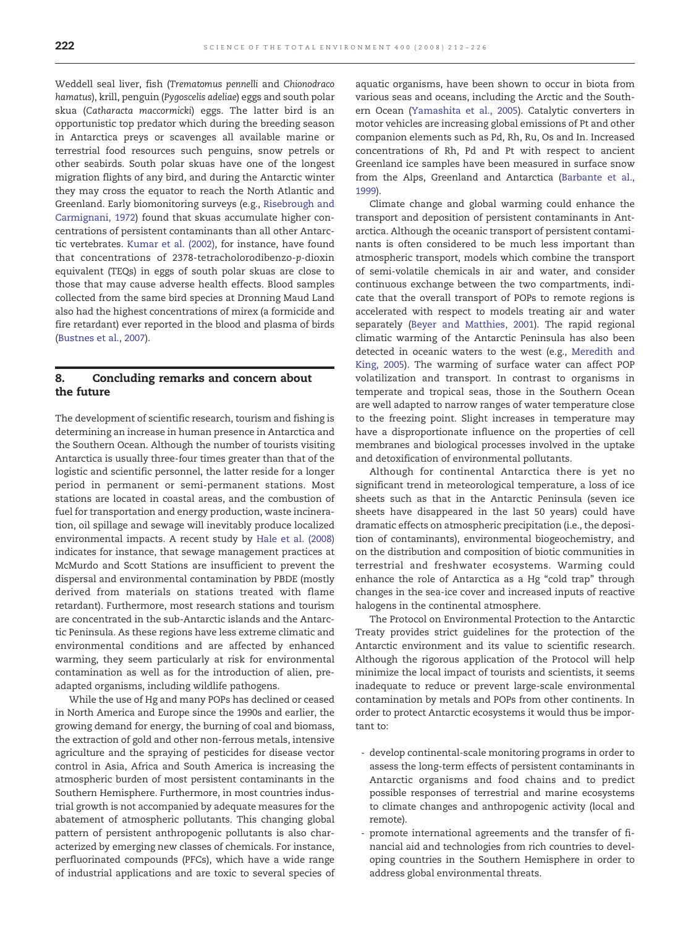Weddell seal liver, fish (Trematomus pennelli and Chionodraco hamatus), krill, penguin (Pygoscelis adeliae) eggs and south polar skua (Catharacta maccormicki) eggs. The latter bird is an opportunistic top predator which during the breeding season in Antarctica preys or scavenges all available marine or terrestrial food resources such penguins, snow petrels or other seabirds. South polar skuas have one of the longest migration flights of any bird, and during the Antarctic winter they may cross the equator to reach the North Atlantic and Greenland. Early biomonitoring surveys (e.g., [Risebrough and](#page-13-0) [Carmignani, 1972\)](#page-13-0) found that skuas accumulate higher concentrations of persistent contaminants than all other Antarctic vertebrates. [Kumar et al. \(2002\),](#page-12-0) for instance, have found that concentrations of 2378-tetracholorodibenzo-p-dioxin equivalent (TEQs) in eggs of south polar skuas are close to those that may cause adverse health effects. Blood samples collected from the same bird species at Dronning Maud Land also had the highest concentrations of mirex (a formicide and fire retardant) ever reported in the blood and plasma of birds ([Bustnes et al., 2007](#page-11-0)).

### 8. Concluding remarks and concern about the future

The development of scientific research, tourism and fishing is determining an increase in human presence in Antarctica and the Southern Ocean. Although the number of tourists visiting Antarctica is usually three-four times greater than that of the logistic and scientific personnel, the latter reside for a longer period in permanent or semi-permanent stations. Most stations are located in coastal areas, and the combustion of fuel for transportation and energy production, waste incineration, oil spillage and sewage will inevitably produce localized environmental impacts. A recent study by [Hale et al. \(2008\)](#page-12-0) indicates for instance, that sewage management practices at McMurdo and Scott Stations are insufficient to prevent the dispersal and environmental contamination by PBDE (mostly derived from materials on stations treated with flame retardant). Furthermore, most research stations and tourism are concentrated in the sub-Antarctic islands and the Antarctic Peninsula. As these regions have less extreme climatic and environmental conditions and are affected by enhanced warming, they seem particularly at risk for environmental contamination as well as for the introduction of alien, preadapted organisms, including wildlife pathogens.

While the use of Hg and many POPs has declined or ceased in North America and Europe since the 1990s and earlier, the growing demand for energy, the burning of coal and biomass, the extraction of gold and other non-ferrous metals, intensive agriculture and the spraying of pesticides for disease vector control in Asia, Africa and South America is increasing the atmospheric burden of most persistent contaminants in the Southern Hemisphere. Furthermore, in most countries industrial growth is not accompanied by adequate measures for the abatement of atmospheric pollutants. This changing global pattern of persistent anthropogenic pollutants is also characterized by emerging new classes of chemicals. For instance, perfluorinated compounds (PFCs), which have a wide range of industrial applications and are toxic to several species of aquatic organisms, have been shown to occur in biota from various seas and oceans, including the Arctic and the Southern Ocean [\(Yamashita et al., 2005](#page-14-0)). Catalytic converters in motor vehicles are increasing global emissions of Pt and other companion elements such as Pd, Rh, Ru, Os and In. Increased concentrations of Rh, Pd and Pt with respect to ancient Greenland ice samples have been measured in surface snow from the Alps, Greenland and Antarctica ([Barbante et al.,](#page-11-0) [1999\)](#page-11-0).

Climate change and global warming could enhance the transport and deposition of persistent contaminants in Antarctica. Although the oceanic transport of persistent contaminants is often considered to be much less important than atmospheric transport, models which combine the transport of semi-volatile chemicals in air and water, and consider continuous exchange between the two compartments, indicate that the overall transport of POPs to remote regions is accelerated with respect to models treating air and water separately ([Beyer and Matthies, 2001](#page-11-0)). The rapid regional climatic warming of the Antarctic Peninsula has also been detected in oceanic waters to the west (e.g., [Meredith and](#page-13-0) [King, 2005\)](#page-13-0). The warming of surface water can affect POP volatilization and transport. In contrast to organisms in temperate and tropical seas, those in the Southern Ocean are well adapted to narrow ranges of water temperature close to the freezing point. Slight increases in temperature may have a disproportionate influence on the properties of cell membranes and biological processes involved in the uptake and detoxification of environmental pollutants.

Although for continental Antarctica there is yet no significant trend in meteorological temperature, a loss of ice sheets such as that in the Antarctic Peninsula (seven ice sheets have disappeared in the last 50 years) could have dramatic effects on atmospheric precipitation (i.e., the deposition of contaminants), environmental biogeochemistry, and on the distribution and composition of biotic communities in terrestrial and freshwater ecosystems. Warming could enhance the role of Antarctica as a Hg "cold trap" through changes in the sea-ice cover and increased inputs of reactive halogens in the continental atmosphere.

The Protocol on Environmental Protection to the Antarctic Treaty provides strict guidelines for the protection of the Antarctic environment and its value to scientific research. Although the rigorous application of the Protocol will help minimize the local impact of tourists and scientists, it seems inadequate to reduce or prevent large-scale environmental contamination by metals and POPs from other continents. In order to protect Antarctic ecosystems it would thus be important to:

- develop continental-scale monitoring programs in order to assess the long-term effects of persistent contaminants in Antarctic organisms and food chains and to predict possible responses of terrestrial and marine ecosystems to climate changes and anthropogenic activity (local and remote).
- promote international agreements and the transfer of financial aid and technologies from rich countries to developing countries in the Southern Hemisphere in order to address global environmental threats.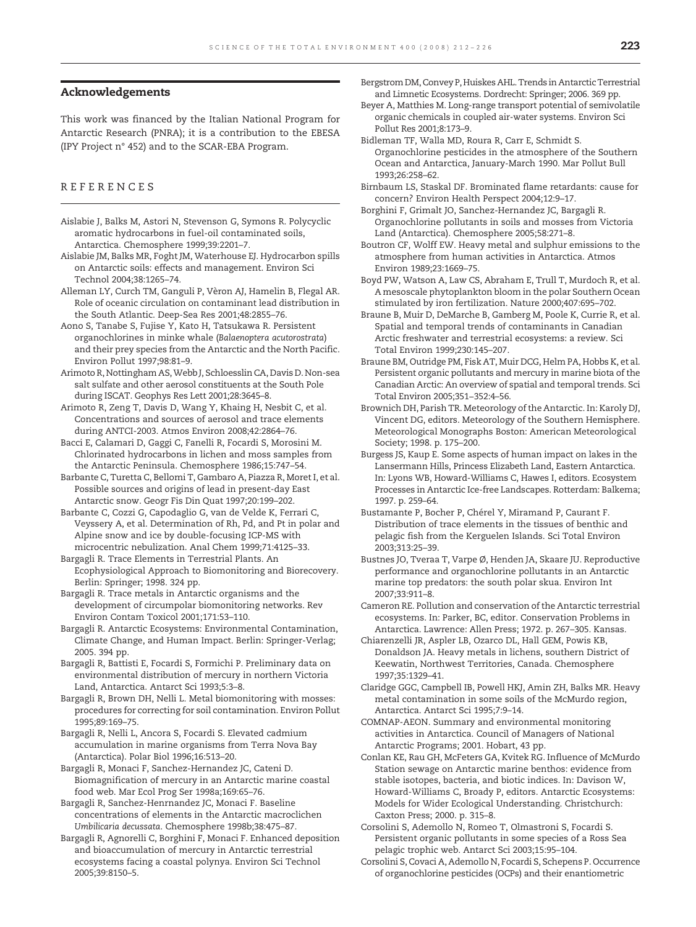#### <span id="page-11-0"></span>Acknowledgements

This work was financed by the Italian National Program for Antarctic Research (PNRA); it is a contribution to the EBESA (IPY Project n° 452) and to the SCAR-EBA Program.

#### REFERENCES

Aislabie J, Balks M, Astori N, Stevenson G, Symons R. Polycyclic aromatic hydrocarbons in fuel-oil contaminated soils, Antarctica. Chemosphere 1999;39:2201–7.

- Aislabie JM, Balks MR, Foght JM, Waterhouse EJ. Hydrocarbon spills on Antarctic soils: effects and management. Environ Sci Technol 2004;38:1265–74.
- Alleman LY, Curch TM, Ganguli P, Vèron AJ, Hamelin B, Flegal AR. Role of oceanic circulation on contaminant lead distribution in the South Atlantic. Deep-Sea Res 2001;48:2855–76.
- Aono S, Tanabe S, Fujise Y, Kato H, Tatsukawa R. Persistent organochlorines in minke whale (Balaenoptera acutorostrata) and their prey species from the Antarctic and the North Pacific. Environ Pollut 1997;98:81–9.
- Arimoto R, Nottingham AS,Webb J, Schloesslin CA, Davis D. Non-sea salt sulfate and other aerosol constituents at the South Pole during ISCAT. Geophys Res Lett 2001;28:3645–8.
- Arimoto R, Zeng T, Davis D, Wang Y, Khaing H, Nesbit C, et al. Concentrations and sources of aerosol and trace elements during ANTCI-2003. Atmos Environ 2008;42:2864–76.
- Bacci E, Calamari D, Gaggi C, Fanelli R, Focardi S, Morosini M. Chlorinated hydrocarbons in lichen and moss samples from the Antarctic Peninsula. Chemosphere 1986;15:747–54.
- Barbante C, Turetta C, Bellomi T, Gambaro A, Piazza R, Moret I, et al. Possible sources and origins of lead in present-day East Antarctic snow. Geogr Fis Din Quat 1997;20:199–202.
- Barbante C, Cozzi G, Capodaglio G, van de Velde K, Ferrari C, Veyssery A, et al. Determination of Rh, Pd, and Pt in polar and Alpine snow and ice by double-focusing ICP-MS with microcentric nebulization. Anal Chem 1999;71:4125–33.
- Bargagli R. Trace Elements in Terrestrial Plants. An Ecophysiological Approach to Biomonitoring and Biorecovery. Berlin: Springer; 1998. 324 pp.
- Bargagli R. Trace metals in Antarctic organisms and the development of circumpolar biomonitoring networks. Rev Environ Contam Toxicol 2001;171:53–110.
- Bargagli R. Antarctic Ecosystems: Environmental Contamination, Climate Change, and Human Impact. Berlin: Springer-Verlag; 2005. 394 pp.
- Bargagli R, Battisti E, Focardi S, Formichi P. Preliminary data on environmental distribution of mercury in northern Victoria Land, Antarctica. Antarct Sci 1993;5:3–8.
- Bargagli R, Brown DH, Nelli L. Metal biomonitoring with mosses: procedures for correcting for soil contamination. Environ Pollut 1995;89:169–75.
- Bargagli R, Nelli L, Ancora S, Focardi S. Elevated cadmium accumulation in marine organisms from Terra Nova Bay (Antarctica). Polar Biol 1996;16:513–20.
- Bargagli R, Monaci F, Sanchez-Hernandez JC, Cateni D. Biomagnification of mercury in an Antarctic marine coastal food web. Mar Ecol Prog Ser 1998a;169:65–76.
- Bargagli R, Sanchez-Henrnandez JC, Monaci F. Baseline concentrations of elements in the Antarctic macroclichen Umbilicaria decussata. Chemosphere 1998b;38:475–87.
- Bargagli R, Agnorelli C, Borghini F, Monaci F. Enhanced deposition and bioaccumulation of mercury in Antarctic terrestrial ecosystems facing a coastal polynya. Environ Sci Technol 2005;39:8150–5.
- Bergstrom DM, Convey P, Huiskes AHL. Trends in Antarctic Terrestrial and Limnetic Ecosystems. Dordrecht: Springer; 2006. 369 pp.
- Beyer A, Matthies M. Long-range transport potential of semivolatile organic chemicals in coupled air-water systems. Environ Sci Pollut Res 2001;8:173–9.
- Bidleman TF, Walla MD, Roura R, Carr E, Schmidt S. Organochlorine pesticides in the atmosphere of the Southern Ocean and Antarctica, January-March 1990. Mar Pollut Bull 1993;26:258–62.
- Birnbaum LS, Staskal DF. Brominated flame retardants: cause for concern? Environ Health Perspect 2004;12:9–17.
- Borghini F, Grimalt JO, Sanchez-Hernandez JC, Bargagli R. Organochlorine pollutants in soils and mosses from Victoria Land (Antarctica). Chemosphere 2005;58:271–8.
- Boutron CF, Wolff EW. Heavy metal and sulphur emissions to the atmosphere from human activities in Antarctica. Atmos Environ 1989;23:1669–75.
- Boyd PW, Watson A, Law CS, Abraham E, Trull T, Murdoch R, et al. A mesoscale phytoplankton bloom in the polar Southern Ocean stimulated by iron fertilization. Nature 2000;407:695–702.
- Braune B, Muir D, DeMarche B, Gamberg M, Poole K, Currie R, et al. Spatial and temporal trends of contaminants in Canadian Arctic freshwater and terrestrial ecosystems: a review. Sci Total Environ 1999;230:145–207.
- Braune BM, Outridge PM, Fisk AT, Muir DCG, Helm PA, Hobbs K, et al. Persistent organic pollutants and mercury in marine biota of the Canadian Arctic: An overview of spatial and temporal trends. Sci Total Environ 2005;351-352:4-56.
- Brownich DH, Parish TR. Meteorology of the Antarctic. In: Karoly DJ, Vincent DG, editors. Meteorology of the Southern Hemisphere. Meteorological Monographs Boston: American Meteorological Society; 1998. p. 175–200.
- Burgess JS, Kaup E. Some aspects of human impact on lakes in the Lansermann Hills, Princess Elizabeth Land, Eastern Antarctica. In: Lyons WB, Howard-Williams C, Hawes I, editors. Ecosystem Processes in Antarctic Ice-free Landscapes. Rotterdam: Balkema; 1997. p. 259–64.
- Bustamante P, Bocher P, Chérel Y, Miramand P, Caurant F. Distribution of trace elements in the tissues of benthic and pelagic fish from the Kerguelen Islands. Sci Total Environ 2003;313:25–39.
- Bustnes JO, Tveraa T, Varpe Ø, Henden JA, Skaare JU. Reproductive performance and organochlorine pollutants in an Antarctic marine top predators: the south polar skua. Environ Int 2007;33:911–8.
- Cameron RE. Pollution and conservation of the Antarctic terrestrial ecosystems. In: Parker, BC, editor. Conservation Problems in Antarctica. Lawrence: Allen Press; 1972. p. 267–305. Kansas.
- Chiarenzelli JR, Aspler LB, Ozarco DL, Hall GEM, Powis KB, Donaldson JA. Heavy metals in lichens, southern District of Keewatin, Northwest Territories, Canada. Chemosphere 1997;35:1329–41.
- Claridge GGC, Campbell IB, Powell HKJ, Amin ZH, Balks MR. Heavy metal contamination in some soils of the McMurdo region, Antarctica. Antarct Sci 1995;7:9–14.
- COMNAP-AEON. Summary and environmental monitoring activities in Antarctica. Council of Managers of National Antarctic Programs; 2001. Hobart, 43 pp.
- Conlan KE, Rau GH, McFeters GA, Kvitek RG. Influence of McMurdo Station sewage on Antarctic marine benthos: evidence from stable isotopes, bacteria, and biotic indices. In: Davison W, Howard-Williams C, Broady P, editors. Antarctic Ecosystems: Models for Wider Ecological Understanding. Christchurch: Caxton Press; 2000. p. 315–8.
- Corsolini S, Ademollo N, Romeo T, Olmastroni S, Focardi S. Persistent organic pollutants in some species of a Ross Sea pelagic trophic web. Antarct Sci 2003;15:95–104.
- Corsolini S, Covaci A, Ademollo N, Focardi S, Schepens P. Occurrence of organochlorine pesticides (OCPs) and their enantiometric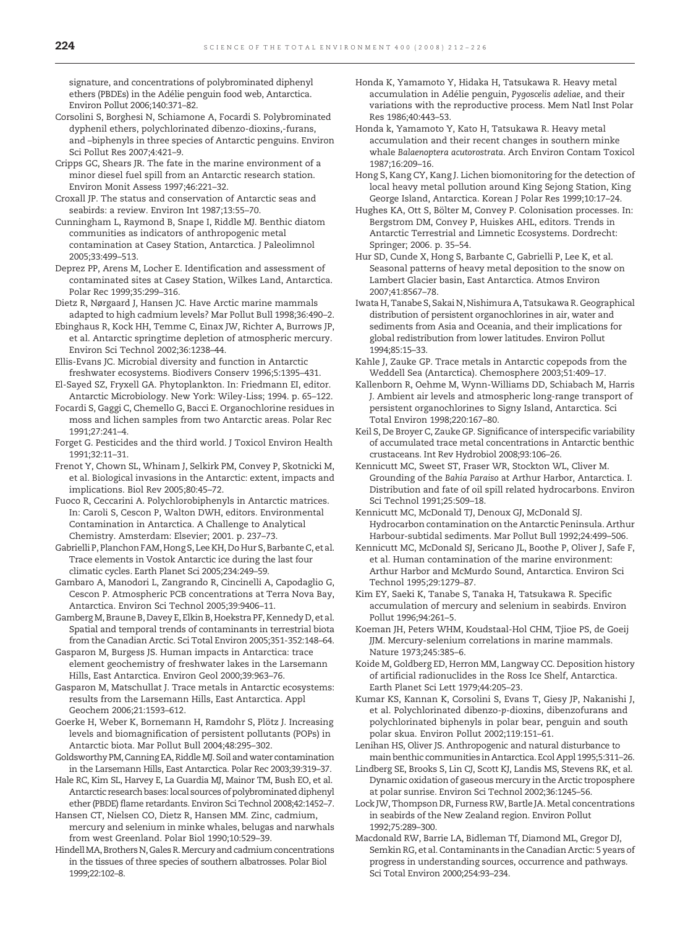<span id="page-12-0"></span>signature, and concentrations of polybrominated diphenyl ethers (PBDEs) in the Adélie penguin food web, Antarctica. Environ Pollut 2006;140:371–82.

- Corsolini S, Borghesi N, Schiamone A, Focardi S. Polybrominated dyphenil ethers, polychlorinated dibenzo-dioxins,-furans, and –biphenyls in three species of Antarctic penguins. Environ Sci Pollut Res 2007;4:421–9.
- Cripps GC, Shears JR. The fate in the marine environment of a minor diesel fuel spill from an Antarctic research station. Environ Monit Assess 1997;46:221–32.
- Croxall JP. The status and conservation of Antarctic seas and seabirds: a review. Environ Int 1987;13:55–70.
- Cunningham L, Raymond B, Snape I, Riddle MJ. Benthic diatom communities as indicators of anthropogenic metal contamination at Casey Station, Antarctica. J Paleolimnol 2005;33:499–513.
- Deprez PP, Arens M, Locher E. Identification and assessment of contaminated sites at Casey Station, Wilkes Land, Antarctica. Polar Rec 1999;35:299–316.
- Dietz R, Nørgaard J, Hansen JC. Have Arctic marine mammals adapted to high cadmium levels? Mar Pollut Bull 1998;36:490–2.
- Ebinghaus R, Kock HH, Temme C, Einax JW, Richter A, Burrows JP, et al. Antarctic springtime depletion of atmospheric mercury. Environ Sci Technol 2002;36:1238–44.
- Ellis-Evans JC. Microbial diversity and function in Antarctic freshwater ecosystems. Biodivers Conserv 1996;5:1395–431.
- El-Sayed SZ, Fryxell GA. Phytoplankton. In: Friedmann EI, editor. Antarctic Microbiology. New York: Wiley-Liss; 1994. p. 65–122.
- Focardi S, Gaggi C, Chemello G, Bacci E. Organochlorine residues in moss and lichen samples from two Antarctic areas. Polar Rec 1991;27:241–4.
- Forget G. Pesticides and the third world. J Toxicol Environ Health 1991;32:11–31.
- Frenot Y, Chown SL, Whinam J, Selkirk PM, Convey P, Skotnicki M, et al. Biological invasions in the Antarctic: extent, impacts and implications. Biol Rev 2005;80:45–72.
- Fuoco R, Ceccarini A. Polychlorobiphenyls in Antarctic matrices. In: Caroli S, Cescon P, Walton DWH, editors. Environmental Contamination in Antarctica. A Challenge to Analytical Chemistry. Amsterdam: Elsevier; 2001. p. 237–73.
- Gabrielli P, Planchon FAM, Hong S, Lee KH, Do Hur S, Barbante C, et al. Trace elements in Vostok Antarctic ice during the last four climatic cycles. Earth Planet Sci 2005;234:249–59.
- Gambaro A, Manodori L, Zangrando R, Cincinelli A, Capodaglio G, Cescon P. Atmospheric PCB concentrations at Terra Nova Bay, Antarctica. Environ Sci Technol 2005;39:9406–11.
- Gamberg M, Braune B, Davey E, Elkin B, Hoekstra PF, Kennedy D, et al. Spatial and temporal trends of contaminants in terrestrial biota from the Canadian Arctic. Sci Total Environ 2005;351-352:148–64.
- Gasparon M, Burgess JS. Human impacts in Antarctica: trace element geochemistry of freshwater lakes in the Larsemann Hills, East Antarctica. Environ Geol 2000;39:963–76.
- Gasparon M, Matschullat J. Trace metals in Antarctic ecosystems: results from the Larsemann Hills, East Antarctica. Appl Geochem 2006;21:1593–612.
- Goerke H, Weber K, Bornemann H, Ramdohr S, Plötz J. Increasing levels and biomagnification of persistent pollutants (POPs) in Antarctic biota. Mar Pollut Bull 2004;48:295–302.
- Goldsworthy PM, Canning EA, RiddleMJ. Soil and water contamination in the Larsemann Hills, East Antarctica. Polar Rec 2003;39:319–37.
- Hale RC, Kim SL, Harvey E, La Guardia MJ, Mainor TM, Bush EO, et al. Antarctic research bases: local sources of polybrominated diphenyl ether (PBDE) flame retardants. Environ Sci Technol 2008;42:1452–7.
- Hansen CT, Nielsen CO, Dietz R, Hansen MM. Zinc, cadmium, mercury and selenium in minke whales, belugas and narwhals from west Greenland. Polar Biol 1990;10:529–39.
- HindellMA, Brothers N, Gales R.Mercury and cadmium concentrations in the tissues of three species of southern albatrosses. Polar Biol 1999;22:102–8.
- Honda K, Yamamoto Y, Hidaka H, Tatsukawa R. Heavy metal accumulation in Adélie penguin, Pygoscelis adeliae, and their variations with the reproductive process. Mem Natl Inst Polar Res 1986;40:443–53.
- Honda k, Yamamoto Y, Kato H, Tatsukawa R. Heavy metal accumulation and their recent changes in southern minke whale Balaenoptera acutorostrata. Arch Environ Contam Toxicol 1987;16:209–16.
- Hong S, Kang CY, Kang J. Lichen biomonitoring for the detection of local heavy metal pollution around King Sejong Station, King George Island, Antarctica. Korean J Polar Res 1999;10:17–24.
- Hughes KA, Ott S, Bölter M, Convey P. Colonisation processes. In: Bergstrom DM, Convey P, Huiskes AHL, editors. Trends in Antarctic Terrestrial and Limnetic Ecosystems. Dordrecht: Springer; 2006. p. 35–54.
- Hur SD, Cunde X, Hong S, Barbante C, Gabrielli P, Lee K, et al. Seasonal patterns of heavy metal deposition to the snow on Lambert Glacier basin, East Antarctica. Atmos Environ 2007;41:8567–78.
- Iwata H, Tanabe S, Sakai N, Nishimura A, Tatsukawa R. Geographical distribution of persistent organochlorines in air, water and sediments from Asia and Oceania, and their implications for global redistribution from lower latitudes. Environ Pollut 1994;85:15–33.
- Kahle J, Zauke GP. Trace metals in Antarctic copepods from the Weddell Sea (Antarctica). Chemosphere 2003;51:409–17.
- Kallenborn R, Oehme M, Wynn-Williams DD, Schiabach M, Harris J. Ambient air levels and atmospheric long-range transport of persistent organochlorines to Signy Island, Antarctica. Sci Total Environ 1998;220:167–80.
- Keil S, De Broyer C, Zauke GP. Significance of interspecific variability of accumulated trace metal concentrations in Antarctic benthic crustaceans. Int Rev Hydrobiol 2008;93:106–26.
- Kennicutt MC, Sweet ST, Fraser WR, Stockton WL, Cliver M. Grounding of the Bahia Paraiso at Arthur Harbor, Antarctica. I. Distribution and fate of oil spill related hydrocarbons. Environ Sci Technol 1991;25:509–18.
- Kennicutt MC, McDonald TJ, Denoux GJ, McDonald SJ. Hydrocarbon contamination on the Antarctic Peninsula. Arthur Harbour-subtidal sediments. Mar Pollut Bull 1992;24:499–506.
- Kennicutt MC, McDonald SJ, Sericano JL, Boothe P, Oliver J, Safe F, et al. Human contamination of the marine environment: Arthur Harbor and McMurdo Sound, Antarctica. Environ Sci Technol 1995;29:1279–87.
- Kim EY, Saeki K, Tanabe S, Tanaka H, Tatsukawa R. Specific accumulation of mercury and selenium in seabirds. Environ Pollut 1996;94:261–5.
- Koeman JH, Peters WHM, Koudstaal-Hol CHM, Tjioe PS, de Goeij JJM. Mercury-selenium correlations in marine mammals. Nature 1973;245:385–6.
- Koide M, Goldberg ED, Herron MM, Langway CC. Deposition history of artificial radionuclides in the Ross Ice Shelf, Antarctica. Earth Planet Sci Lett 1979;44:205–23.
- Kumar KS, Kannan K, Corsolini S, Evans T, Giesy JP, Nakanishi J, et al. Polychlorinated dibenzo-p-dioxins, dibenzofurans and polychlorinated biphenyls in polar bear, penguin and south polar skua. Environ Pollut 2002;119:151–61.
- Lenihan HS, Oliver JS. Anthropogenic and natural disturbance to main benthic communities in Antarctica. Ecol Appl 1995;5:311–26.
- Lindberg SE, Brooks S, Lin CJ, Scott KJ, Landis MS, Stevens RK, et al. Dynamic oxidation of gaseous mercury in the Arctic troposphere at polar sunrise. Environ Sci Technol 2002;36:1245–56.
- Lock JW, Thompson DR, Furness RW, Bartle JA. Metal concentrations in seabirds of the New Zealand region. Environ Pollut 1992;75:289–300.
- Macdonald RW, Barrie LA, Bidleman Tf, Diamond ML, Gregor DJ, Semkin RG, et al. Contaminants in the Canadian Arctic: 5 years of progress in understanding sources, occurrence and pathways. Sci Total Environ 2000;254:93–234.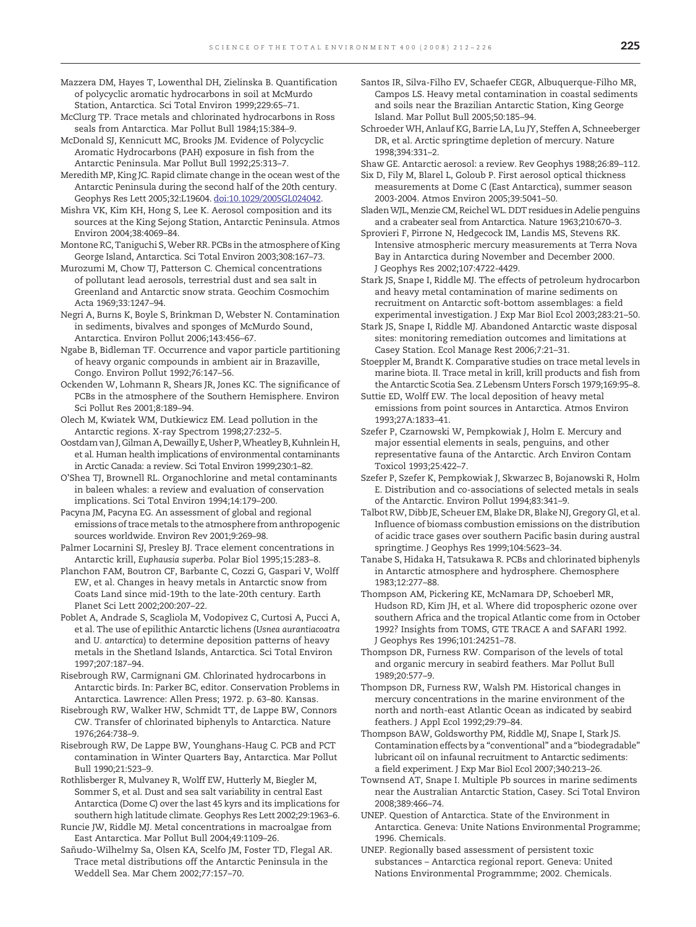- <span id="page-13-0"></span>Mazzera DM, Hayes T, Lowenthal DH, Zielinska B. Quantification of polycyclic aromatic hydrocarbons in soil at McMurdo Station, Antarctica. Sci Total Environ 1999;229:65–71.
- McClurg TP. Trace metals and chlorinated hydrocarbons in Ross seals from Antarctica. Mar Pollut Bull 1984;15:384–9.
- McDonald SJ, Kennicutt MC, Brooks JM. Evidence of Polycyclic Aromatic Hydrocarbons (PAH) exposure in fish from the Antarctic Peninsula. Mar Pollut Bull 1992;25:313–7.
- Meredith MP, King JC. Rapid climate change in the ocean west of the Antarctic Peninsula during the second half of the 20th century. Geophys Res Lett 2005;32:L19604. doi:10.1029/2005GL024042.
- Mishra VK, Kim KH, Hong S, Lee K. Aerosol composition and its sources at the King Sejong Station, Antarctic Peninsula. Atmos Environ 2004;38:4069–84.
- Montone RC, Taniguchi S,Weber RR. PCBs in the atmosphere of King George Island, Antarctica. Sci Total Environ 2003;308:167–73.
- Murozumi M, Chow TJ, Patterson C. Chemical concentrations of pollutant lead aerosols, terrestrial dust and sea salt in Greenland and Antarctic snow strata. Geochim Cosmochim Acta 1969;33:1247–94.
- Negri A, Burns K, Boyle S, Brinkman D, Webster N. Contamination in sediments, bivalves and sponges of McMurdo Sound, Antarctica. Environ Pollut 2006;143:456–67.
- Ngabe B, Bidleman TF. Occurrence and vapor particle partitioning of heavy organic compounds in ambient air in Brazaville, Congo. Environ Pollut 1992;76:147–56.
- Ockenden W, Lohmann R, Shears JR, Jones KC. The significance of PCBs in the atmosphere of the Southern Hemisphere. Environ Sci Pollut Res 2001;8:189–94.
- Olech M, Kwiatek WM, Dutkiewicz EM. Lead pollution in the Antarctic regions. X-ray Spectrom 1998;27:232–5.
- Oostdam van J, Gilman A, Dewailly E, Usher P, Wheatley B, Kuhnlein H, et al. Human health implications of environmental contaminants in Arctic Canada: a review. Sci Total Environ 1999;230:1–82.
- O'Shea TJ, Brownell RL. Organochlorine and metal contaminants in baleen whales: a review and evaluation of conservation implications. Sci Total Environ 1994;14:179–200.
- Pacyna JM, Pacyna EG. An assessment of global and regional emissions of trace metals to the atmosphere from anthropogenic sources worldwide. Environ Rev 2001;9:269–98.
- Palmer Locarnini SJ, Presley BJ. Trace element concentrations in Antarctic krill, Euphausia superba. Polar Biol 1995;15:283–8.
- Planchon FAM, Boutron CF, Barbante C, Cozzi G, Gaspari V, Wolff EW, et al. Changes in heavy metals in Antarctic snow from Coats Land since mid-19th to the late-20th century. Earth Planet Sci Lett 2002;200:207–22.
- Poblet A, Andrade S, Scagliola M, Vodopivez C, Curtosi A, Pucci A, et al. The use of epilithic Antarctic lichens (Usnea aurantiacoatra and U. antarctica) to determine deposition patterns of heavy metals in the Shetland Islands, Antarctica. Sci Total Environ 1997;207:187–94.
- Risebrough RW, Carmignani GM. Chlorinated hydrocarbons in Antarctic birds. In: Parker BC, editor. Conservation Problems in Antarctica. Lawrence: Allen Press; 1972. p. 63–80. Kansas.
- Risebrough RW, Walker HW, Schmidt TT, de Lappe BW, Connors CW. Transfer of chlorinated biphenyls to Antarctica. Nature 1976;264:738–9.
- Risebrough RW, De Lappe BW, Younghans-Haug C. PCB and PCT contamination in Winter Quarters Bay, Antarctica. Mar Pollut Bull 1990;21:523–9.
- Rothlisberger R, Mulvaney R, Wolff EW, Hutterly M, Biegler M, Sommer S, et al. Dust and sea salt variability in central East Antarctica (Dome C) over the last 45 kyrs and its implications for southern high latitude climate. Geophys Res Lett 2002;29:1963–6.
- Runcie JW, Riddle MJ. Metal concentrations in macroalgae from East Antarctica. Mar Pollut Bull 2004;49:1109–26.
- Sañudo-Wilhelmy Sa, Olsen KA, Scelfo JM, Foster TD, Flegal AR. Trace metal distributions off the Antarctic Peninsula in the Weddell Sea. Mar Chem 2002;77:157–70.
- Santos IR, Silva-Filho EV, Schaefer CEGR, Albuquerque-Filho MR, Campos LS. Heavy metal contamination in coastal sediments and soils near the Brazilian Antarctic Station, King George Island. Mar Pollut Bull 2005;50:185–94.
- Schroeder WH, Anlauf KG, Barrie LA, Lu JY, Steffen A, Schneeberger DR, et al. Arctic springtime depletion of mercury. Nature 1998;394:331–2.
- Shaw GE. Antarctic aerosol: a review. Rev Geophys 1988;26:89–112.
- Six D, Fily M, Blarel L, Goloub P. First aerosol optical thickness measurements at Dome C (East Antarctica), summer season 2003-2004. Atmos Environ 2005;39:5041–50.
- Sladen WJL, Menzie CM, Reichel WL. DDT residues in Adelie penguins and a crabeater seal from Antarctica. Nature 1963;210:670–3.
- Sprovieri F, Pirrone N, Hedgecock IM, Landis MS, Stevens RK. Intensive atmospheric mercury measurements at Terra Nova Bay in Antarctica during November and December 2000. J Geophys Res 2002;107:4722-4429.
- Stark JS, Snape I, Riddle MJ. The effects of petroleum hydrocarbon and heavy metal contamination of marine sediments on recruitment on Antarctic soft-bottom assemblages: a field experimental investigation. J Exp Mar Biol Ecol 2003;283:21–50.
- Stark JS, Snape I, Riddle MJ. Abandoned Antarctic waste disposal sites: monitoring remediation outcomes and limitations at Casey Station. Ecol Manage Rest 2006;7:21–31.
- Stoeppler M, Brandt K. Comparative studies on trace metal levels in marine biota. II. Trace metal in krill, krill products and fish from the Antarctic Scotia Sea. Z Lebensm Unters Forsch 1979;169:95–8.
- Suttie ED, Wolff EW. The local deposition of heavy metal emissions from point sources in Antarctica. Atmos Environ 1993;27A:1833–41.
- Szefer P, Czarnowski W, Pempkowiak J, Holm E. Mercury and major essential elements in seals, penguins, and other representative fauna of the Antarctic. Arch Environ Contam Toxicol 1993;25:422–7.
- Szefer P, Szefer K, Pempkowiak J, Skwarzec B, Bojanowski R, Holm E. Distribution and co-associations of selected metals in seals of the Antarctic. Environ Pollut 1994;83:341–9.
- Talbot RW, Dibb JE, Scheuer EM, Blake DR, Blake NJ, Gregory Gl, et al. Influence of biomass combustion emissions on the distribution of acidic trace gases over southern Pacific basin during austral springtime. J Geophys Res 1999;104:5623–34.
- Tanabe S, Hidaka H, Tatsukawa R. PCBs and chlorinated biphenyls in Antarctic atmosphere and hydrosphere. Chemosphere 1983;12:277–88.
- Thompson AM, Pickering KE, McNamara DP, Schoeberl MR, Hudson RD, Kim JH, et al. Where did tropospheric ozone over southern Africa and the tropical Atlantic come from in October 1992? Insights from TOMS, GTE TRACE A and SAFARI 1992. J Geophys Res 1996;101:24251–78.
- Thompson DR, Furness RW. Comparison of the levels of total and organic mercury in seabird feathers. Mar Pollut Bull 1989;20:577–9.
- Thompson DR, Furness RW, Walsh PM. Historical changes in mercury concentrations in the marine environment of the north and north-east Atlantic Ocean as indicated by seabird feathers. J Appl Ecol 1992;29:79–84.
- Thompson BAW, Goldsworthy PM, Riddle MJ, Snape I, Stark JS. Contamination effects by a "conventional" and a "biodegradable" lubricant oil on infaunal recruitment to Antarctic sediments: a field experiment. J Exp Mar Biol Ecol 2007;340:213–26.
- Townsend AT, Snape I. Multiple Pb sources in marine sediments near the Australian Antarctic Station, Casey. Sci Total Environ 2008;389:466–74.
- UNEP. Question of Antarctica. State of the Environment in Antarctica. Geneva: Unite Nations Environmental Programme; 1996. Chemicals.
- UNEP. Regionally based assessment of persistent toxic substances – Antarctica regional report. Geneva: United Nations Environmental Programmme; 2002. Chemicals.